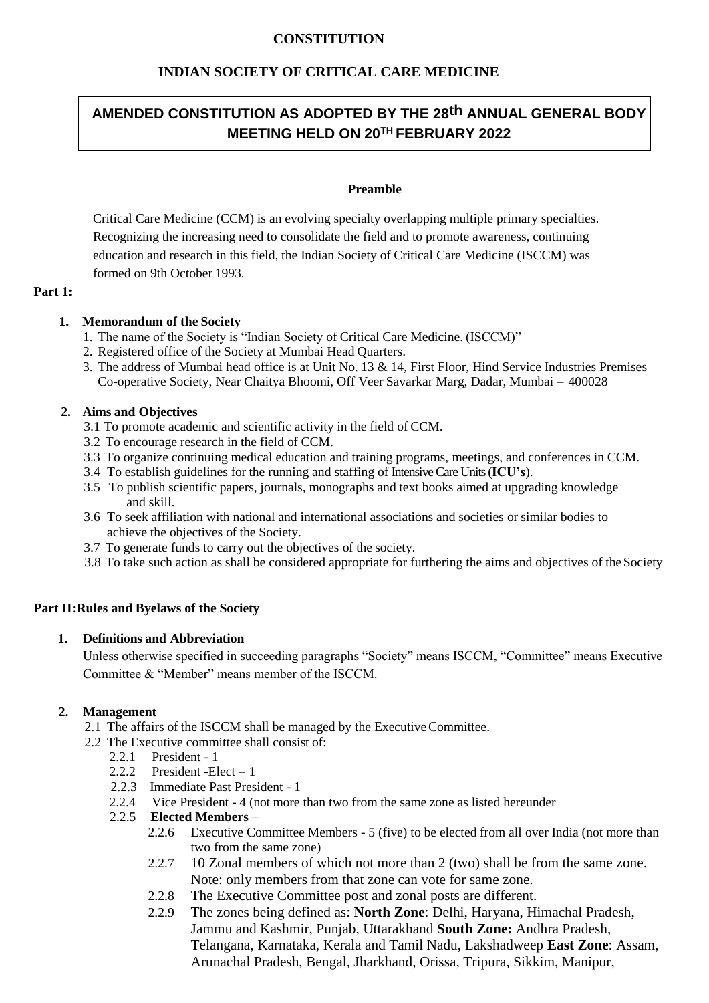# **CONSTITUTION**

# **INDIAN SOCIETY OF CRITICAL CARE MEDICINE**

# **AMENDED CONSTITUTION AS ADOPTED BY THE 28th ANNUAL GENERAL BODY MEETING HELD ON 20 TH FEBRUARY 2022**

## **Preamble**

Critical Care Medicine (CCM) is an evolving specialty overlapping multiple primary specialties. Recognizing the increasing need to consolidate the field and to promote awareness, continuing education and research in this field, the Indian Society of Critical Care Medicine (ISCCM) was formed on 9th October 1993.

#### **Part 1:**

# **1. Memorandum of the Society**

- 1. The name of the Society is "Indian Society of Critical Care Medicine. (ISCCM)"
- 2. Registered office of the Society at Mumbai Head Quarters.
- 3. The address of Mumbai head office is at Unit No. 13 & 14, First Floor, Hind Service Industries Premises Co-operative Society, Near Chaitya Bhoomi, Off Veer Savarkar Marg, Dadar, Mumbai – 400028

### **2. Aims and Objectives**

- 3.1 To promote academic and scientific activity in the field of CCM.
- 3.2 To encourage research in the field of CCM.
- 3.3 To organize continuing medical education and training programs, meetings, and conferences in CCM.
- 3.4 To establish guidelines for the running and staffing of Intensive Care Units (**ICU's**).
- 3.5 To publish scientific papers, journals, monographs and text books aimed at upgrading knowledge and skill.
- 3.6 To seek affiliation with national and international associations and societies or similar bodies to achieve the objectives of the Society.
- 3.7 To generate funds to carry out the objectives of the society.
- 3.8 To take such action as shall be considered appropriate for furthering the aims and objectives of the Society

# **Part II:Rules and Byelaws of the Society**

# **1. Definitions and Abbreviation**

Unless otherwise specified in succeeding paragraphs "Society" means ISCCM, "Committee" means Executive Committee & "Member" means member of the ISCCM.

# **2. Management**

- 2.1 The affairs of the ISCCM shall be managed by the ExecutiveCommittee.
- 2.2 The Executive committee shall consist of:
	- 2.2.1 President 1
	- 2.2.2 President -Elect  $-1$
	- 2.2.3 Immediate Past President 1
	- 2.2.4 Vice President 4 (not more than two from the same zone as listed hereunder

#### 2.2.5 **Elected Members –**

- 2.2.6 Executive Committee Members 5 (five) to be elected from all over India (not more than two from the same zone)
- 2.2.7 10 Zonal members of which not more than 2 (two) shall be from the same zone. Note: only members from that zone can vote for same zone.
- 2.2.8 The Executive Committee post and zonal posts are different.
- 2.2.9 The zones being defined as: **North Zone**: Delhi, Haryana, Himachal Pradesh, Jammu and Kashmir, Punjab, Uttarakhand **South Zone:** Andhra Pradesh, Telangana, Karnataka, Kerala and Tamil Nadu, Lakshadweep **East Zone**: Assam, Arunachal Pradesh, Bengal, Jharkhand, Orissa, Tripura, Sikkim, Manipur,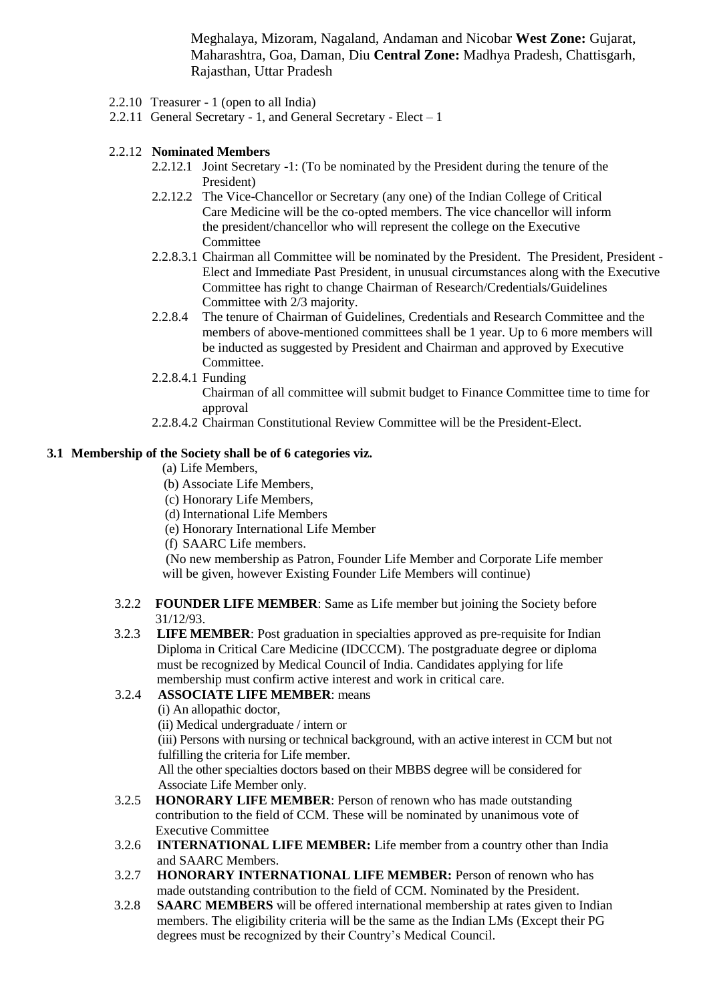Meghalaya, Mizoram, Nagaland, Andaman and Nicobar **West Zone:** Gujarat, Maharashtra, Goa, Daman, Diu **Central Zone:** Madhya Pradesh, Chattisgarh, Rajasthan, Uttar Pradesh

- 2.2.10 Treasurer 1 (open to all India)
- 2.2.11 General Secretary 1, and General Secretary Elect 1

#### 2.2.12 **Nominated Members**

- 2.2.12.1 Joint Secretary -1: (To be nominated by the President during the tenure of the President)
- 2.2.12.2 The Vice-Chancellor or Secretary (any one) of the Indian College of Critical Care Medicine will be the co-opted members. The vice chancellor will inform the president/chancellor who will represent the college on the Executive Committee
- 2.2.8.3.1 Chairman all Committee will be nominated by the President. The President, President Elect and Immediate Past President, in unusual circumstances along with the Executive Committee has right to change Chairman of Research/Credentials/Guidelines Committee with 2/3 majority.
- 2.2.8.4 The tenure of Chairman of Guidelines, Credentials and Research Committee and the members of above-mentioned committees shall be 1 year. Up to 6 more members will be inducted as suggested by President and Chairman and approved by Executive Committee.
- 2.2.8.4.1 Funding
	- Chairman of all committee will submit budget to Finance Committee time to time for approval
- 2.2.8.4.2 Chairman Constitutional Review Committee will be the President-Elect.

### **3.1 Membership of the Society shall be of 6 categories viz.**

- (a) Life Members,
- (b) Associate Life Members,
- (c) Honorary Life Members,
- (d) International Life Members
- (e) Honorary International Life Member
- (f) SAARC Life members.

(No new membership as Patron, Founder Life Member and Corporate Life member will be given, however Existing Founder Life Members will continue)

#### 3.2.2 **FOUNDER LIFE MEMBER**: Same as Life member but joining the Society before 31/12/93.

3.2.3 **LIFE MEMBER**: Post graduation in specialties approved as pre-requisite for Indian Diploma in Critical Care Medicine (IDCCCM). The postgraduate degree or diploma must be recognized by Medical Council of India. Candidates applying for life membership must confirm active interest and work in critical care.

# 3.2.4 **ASSOCIATE LIFE MEMBER**: means

(i) An allopathic doctor,

(ii) Medical undergraduate / intern or

(iii) Persons with nursing or technical background, with an active interest in CCM but not fulfilling the criteria for Life member.

All the other specialties doctors based on their MBBS degree will be considered for Associate Life Member only.

- 3.2.5 **HONORARY LIFE MEMBER**: Person of renown who has made outstanding contribution to the field of CCM. These will be nominated by unanimous vote of Executive Committee
- 3.2.6 **INTERNATIONAL LIFE MEMBER:** Life member from a country other than India and SAARC Members.
- 3.2.7 **HONORARY INTERNATIONAL LIFE MEMBER:** Person of renown who has made outstanding contribution to the field of CCM. Nominated by the President.
- 3.2.8 **SAARC MEMBERS** will be offered international membership at rates given to Indian members. The eligibility criteria will be the same as the Indian LMs (Except their PG degrees must be recognized by their Country's Medical Council.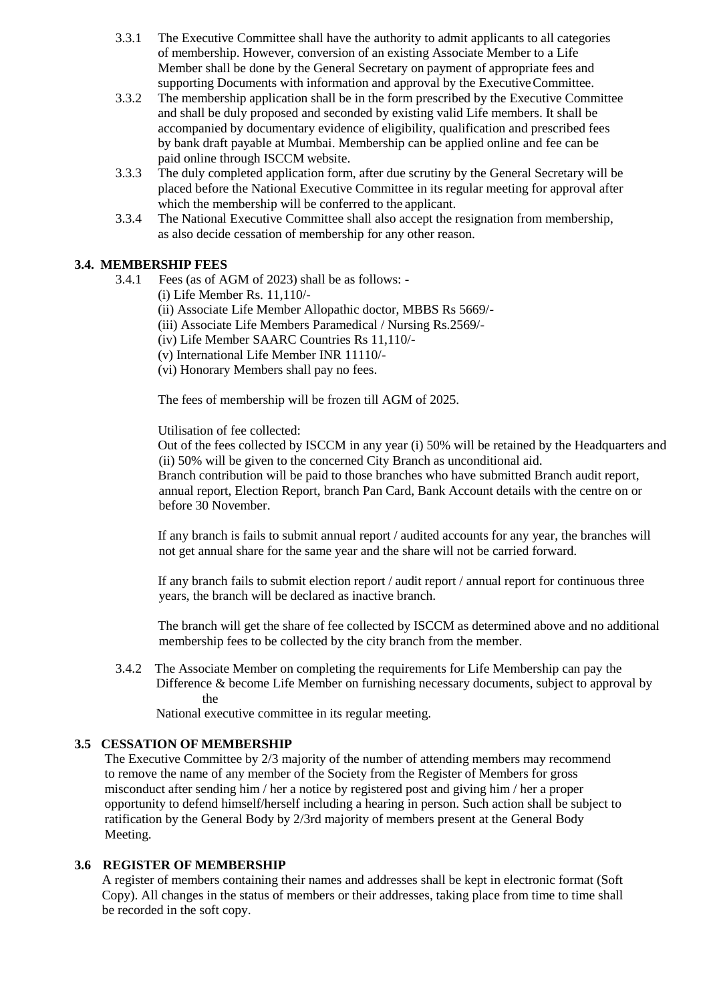- 3.3.1 The Executive Committee shall have the authority to admit applicants to all categories of membership. However, conversion of an existing Associate Member to a Life Member shall be done by the General Secretary on payment of appropriate fees and supporting Documents with information and approval by the ExecutiveCommittee.
- 3.3.2 The membership application shall be in the form prescribed by the Executive Committee and shall be duly proposed and seconded by existing valid Life members. It shall be accompanied by documentary evidence of eligibility, qualification and prescribed fees by bank draft payable at Mumbai. Membership can be applied online and fee can be paid online through ISCCM website.
- 3.3.3 The duly completed application form, after due scrutiny by the General Secretary will be placed before the National Executive Committee in its regular meeting for approval after which the membership will be conferred to the applicant.
- 3.3.4 The National Executive Committee shall also accept the resignation from membership, as also decide cessation of membership for any other reason.

# **3.4. MEMBERSHIP FEES**

- 3.4.1 Fees (as of AGM of 2023) shall be as follows:
	- (i) Life Member Rs. 11,110/-
	- (ii) Associate Life Member Allopathic doctor, MBBS Rs 5669/-
	- (iii) Associate Life Members Paramedical / Nursing Rs.2569/-
	- (iv) Life Member SAARC Countries Rs 11,110/-
	- (v) International Life Member INR 11110/-
	- (vi) Honorary Members shall pay no fees.

The fees of membership will be frozen till AGM of 2025.

Utilisation of fee collected:

Out of the fees collected by ISCCM in any year (i) 50% will be retained by the Headquarters and (ii) 50% will be given to the concerned City Branch as unconditional aid. Branch contribution will be paid to those branches who have submitted Branch audit report, annual report, Election Report, branch Pan Card, Bank Account details with the centre on or

before 30 November.

If any branch is fails to submit annual report / audited accounts for any year, the branches will not get annual share for the same year and the share will not be carried forward.

If any branch fails to submit election report / audit report / annual report for continuous three years, the branch will be declared as inactive branch.

The branch will get the share of fee collected by ISCCM as determined above and no additional membership fees to be collected by the city branch from the member.

3.4.2 The Associate Member on completing the requirements for Life Membership can pay the Difference & become Life Member on furnishing necessary documents, subject to approval by the

National executive committee in its regular meeting.

# **3.5 CESSATION OF MEMBERSHIP**

The Executive Committee by 2/3 majority of the number of attending members may recommend to remove the name of any member of the Society from the Register of Members for gross misconduct after sending him / her a notice by registered post and giving him / her a proper opportunity to defend himself/herself including a hearing in person. Such action shall be subject to ratification by the General Body by 2/3rd majority of members present at the General Body Meeting.

#### **3.6 REGISTER OF MEMBERSHIP**

A register of members containing their names and addresses shall be kept in electronic format (Soft Copy). All changes in the status of members or their addresses, taking place from time to time shall be recorded in the soft copy.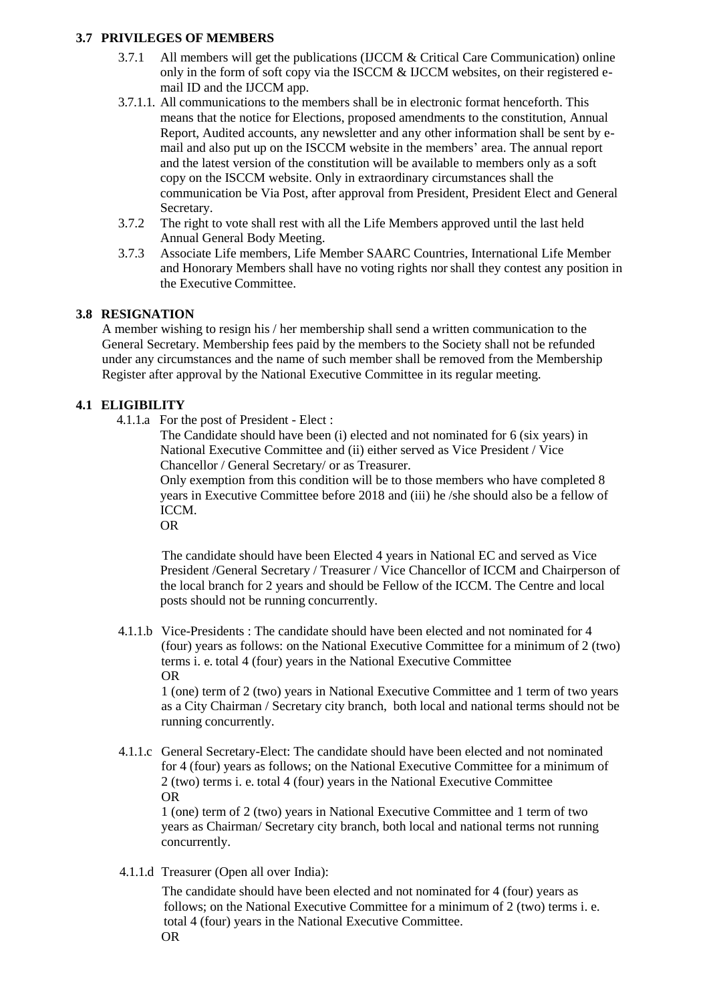## **3.7 PRIVILEGES OF MEMBERS**

- 3.7.1 All members will get the publications (IJCCM & Critical Care Communication) online only in the form of soft copy via the ISCCM & IJCCM websites, on their registered email ID and the IJCCM app.
- 3.7.1.1. All communications to the members shall be in electronic format henceforth. This means that the notice for Elections, proposed amendments to the constitution, Annual Report, Audited accounts, any newsletter and any other information shall be sent by email and also put up on the ISCCM website in the members' area. The annual report and the latest version of the constitution will be available to members only as a soft copy on the ISCCM website. Only in extraordinary circumstances shall the communication be Via Post, after approval from President, President Elect and General Secretary.
- 3.7.2 The right to vote shall rest with all the Life Members approved until the last held Annual General Body Meeting.
- 3.7.3 Associate Life members, Life Member SAARC Countries, International Life Member and Honorary Members shall have no voting rights nor shall they contest any position in the Executive Committee.

# **3.8 RESIGNATION**

A member wishing to resign his / her membership shall send a written communication to the General Secretary. Membership fees paid by the members to the Society shall not be refunded under any circumstances and the name of such member shall be removed from the Membership Register after approval by the National Executive Committee in its regular meeting.

# **4.1 ELIGIBILITY**

4.1.1.a For the post of President - Elect :

The Candidate should have been (i) elected and not nominated for 6 (six years) in National Executive Committee and (ii) either served as Vice President / Vice Chancellor / General Secretary/ or as Treasurer.

Only exemption from this condition will be to those members who have completed 8 years in Executive Committee before 2018 and (iii) he /she should also be a fellow of ICCM.

OR

The candidate should have been Elected 4 years in National EC and served as Vice President /General Secretary / Treasurer / Vice Chancellor of ICCM and Chairperson of the local branch for 2 years and should be Fellow of the ICCM. The Centre and local posts should not be running concurrently.

4.1.1.b Vice-Presidents : The candidate should have been elected and not nominated for 4 (four) years as follows: on the National Executive Committee for a minimum of 2 (two) terms i. e. total 4 (four) years in the National Executive Committee OR

1 (one) term of 2 (two) years in National Executive Committee and 1 term of two years as a City Chairman / Secretary city branch, both local and national terms should not be running concurrently.

4.1.1.c General Secretary-Elect: The candidate should have been elected and not nominated for 4 (four) years as follows; on the National Executive Committee for a minimum of 2 (two) terms i. e. total 4 (four) years in the National Executive Committee OR

1 (one) term of 2 (two) years in National Executive Committee and 1 term of two years as Chairman/ Secretary city branch, both local and national terms not running concurrently.

4.1.1.d Treasurer (Open all over India):

The candidate should have been elected and not nominated for 4 (four) years as follows; on the National Executive Committee for a minimum of 2 (two) terms i. e. total 4 (four) years in the National Executive Committee. OR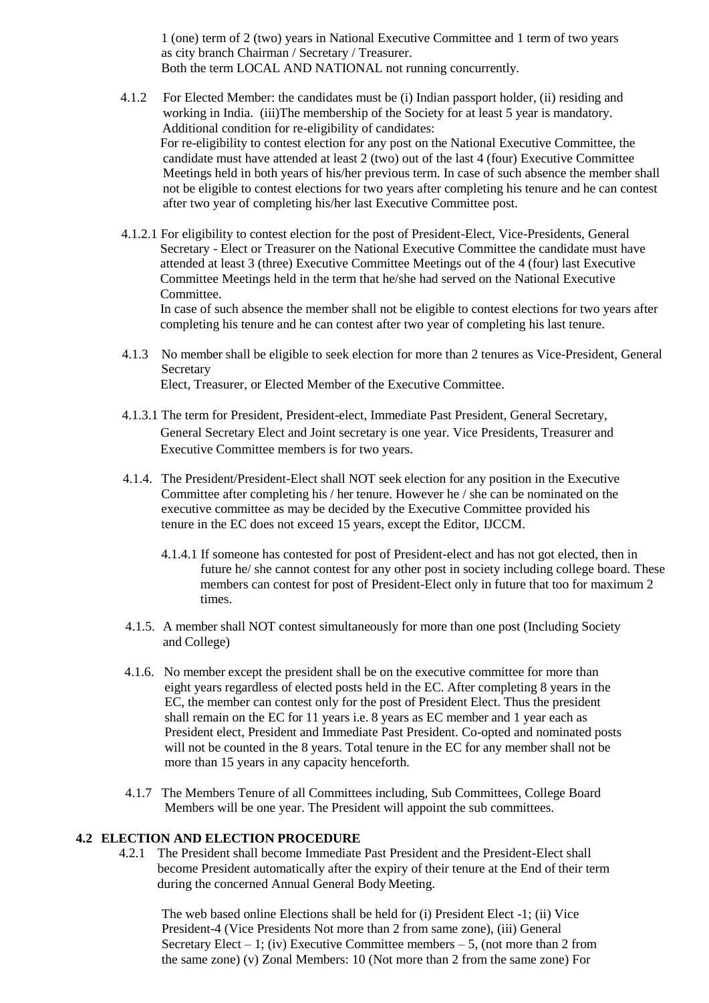1 (one) term of 2 (two) years in National Executive Committee and 1 term of two years as city branch Chairman / Secretary / Treasurer. Both the term LOCAL AND NATIONAL not running concurrently.

- 4.1.2 For Elected Member: the candidates must be (i) Indian passport holder, (ii) residing and working in India. (iii)The membership of the Society for at least 5 year is mandatory. Additional condition for re-eligibility of candidates: For re-eligibility to contest election for any post on the National Executive Committee, the candidate must have attended at least 2 (two) out of the last 4 (four) Executive Committee Meetings held in both years of his/her previous term. In case of such absence the member shall not be eligible to contest elections for two years after completing his tenure and he can contest after two year of completing his/her last Executive Committee post.
- 4.1.2.1 For eligibility to contest election for the post of President-Elect, Vice-Presidents, General Secretary - Elect or Treasurer on the National Executive Committee the candidate must have attended at least 3 (three) Executive Committee Meetings out of the 4 (four) last Executive Committee Meetings held in the term that he/she had served on the National Executive Committee.

In case of such absence the member shall not be eligible to contest elections for two years after completing his tenure and he can contest after two year of completing his last tenure.

- 4.1.3 No member shall be eligible to seek election for more than 2 tenures as Vice-President, General Secretary Elect, Treasurer, or Elected Member of the Executive Committee.
- 4.1.3.1 The term for President, President-elect, Immediate Past President, General Secretary, General Secretary Elect and Joint secretary is one year. Vice Presidents, Treasurer and Executive Committee members is for two years.
- 4.1.4. The President/President-Elect shall NOT seek election for any position in the Executive Committee after completing his / her tenure. However he / she can be nominated on the executive committee as may be decided by the Executive Committee provided his tenure in the EC does not exceed 15 years, except the Editor, IJCCM.
	- 4.1.4.1 If someone has contested for post of President-elect and has not got elected, then in future he/ she cannot contest for any other post in society including college board. These members can contest for post of President-Elect only in future that too for maximum 2 times.
- 4.1.5. A member shall NOT contest simultaneously for more than one post (Including Society and College)
- 4.1.6. No member except the president shall be on the executive committee for more than eight years regardless of elected posts held in the EC. After completing 8 years in the EC, the member can contest only for the post of President Elect. Thus the president shall remain on the EC for 11 years i.e. 8 years as EC member and 1 year each as President elect, President and Immediate Past President. Co-opted and nominated posts will not be counted in the 8 years. Total tenure in the EC for any member shall not be more than 15 years in any capacity henceforth.
- 4.1.7 The Members Tenure of all Committees including, Sub Committees, College Board Members will be one year. The President will appoint the sub committees.

#### **4.2 ELECTION AND ELECTION PROCEDURE**

4.2.1 The President shall become Immediate Past President and the President-Elect shall become President automatically after the expiry of their tenure at the End of their term during the concerned Annual General Body Meeting.

The web based online Elections shall be held for (i) President Elect -1; (ii) Vice President-4 (Vice Presidents Not more than 2 from same zone), (iii) General Secretary Elect – 1; (iv) Executive Committee members – 5, (not more than 2 from the same zone) (v) Zonal Members: 10 (Not more than 2 from the same zone) For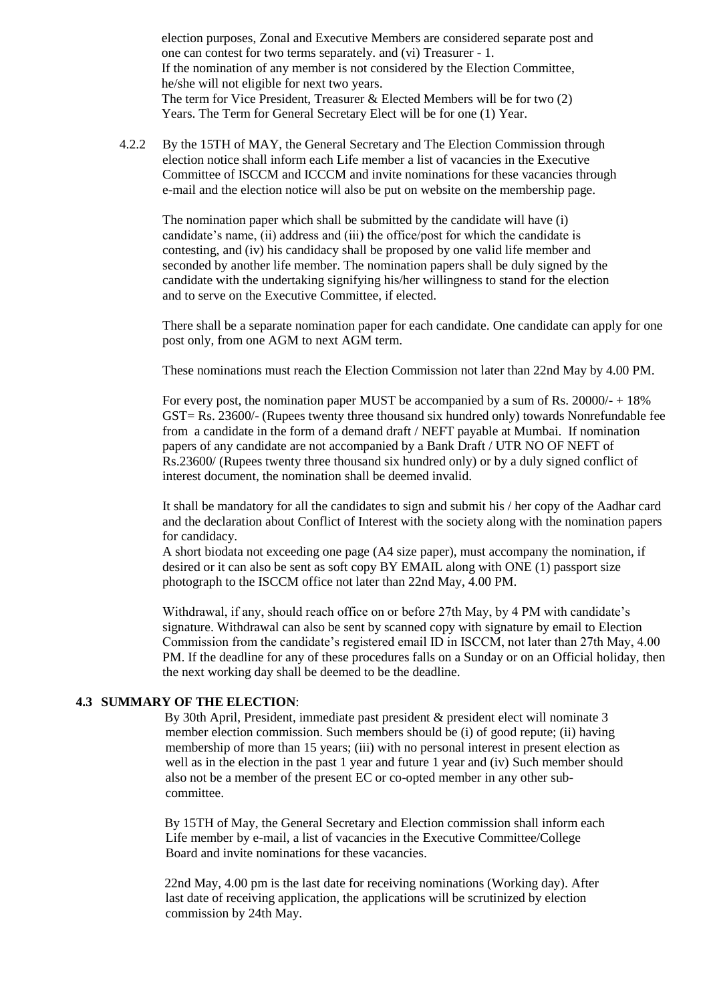election purposes, Zonal and Executive Members are considered separate post and one can contest for two terms separately. and (vi) Treasurer - 1. If the nomination of any member is not considered by the Election Committee, he/she will not eligible for next two years. The term for Vice President, Treasurer & Elected Members will be for two (2) Years. The Term for General Secretary Elect will be for one (1) Year.

4.2.2 By the 15TH of MAY, the General Secretary and The Election Commission through election notice shall inform each Life member a list of vacancies in the Executive Committee of ISCCM and ICCCM and invite nominations for these vacancies through e-mail and the election notice will also be put on website on the membership page.

The nomination paper which shall be submitted by the candidate will have (i) candidate's name, (ii) address and (iii) the office/post for which the candidate is contesting, and (iv) his candidacy shall be proposed by one valid life member and seconded by another life member. The nomination papers shall be duly signed by the candidate with the undertaking signifying his/her willingness to stand for the election and to serve on the Executive Committee, if elected.

There shall be a separate nomination paper for each candidate. One candidate can apply for one post only, from one AGM to next AGM term.

These nominations must reach the Election Commission not later than 22nd May by 4.00 PM.

For every post, the nomination paper MUST be accompanied by a sum of Rs.  $20000/ + 18\%$ GST= Rs. 23600/- (Rupees twenty three thousand six hundred only) towards Nonrefundable fee from a candidate in the form of a demand draft / NEFT payable at Mumbai. If nomination papers of any candidate are not accompanied by a Bank Draft / UTR NO OF NEFT of Rs.23600/ (Rupees twenty three thousand six hundred only) or by a duly signed conflict of interest document, the nomination shall be deemed invalid.

It shall be mandatory for all the candidates to sign and submit his / her copy of the Aadhar card and the declaration about Conflict of Interest with the society along with the nomination papers for candidacy.

A short biodata not exceeding one page (A4 size paper), must accompany the nomination, if desired or it can also be sent as soft copy BY EMAIL along with ONE (1) passport size photograph to the ISCCM office not later than 22nd May, 4.00 PM.

Withdrawal, if any, should reach office on or before 27th May, by 4 PM with candidate's signature. Withdrawal can also be sent by scanned copy with signature by email to Election Commission from the candidate's registered email ID in ISCCM, not later than 27th May, 4.00 PM. If the deadline for any of these procedures falls on a Sunday or on an Official holiday, then the next working day shall be deemed to be the deadline.

#### **4.3 SUMMARY OF THE ELECTION**:

By 30th April, President, immediate past president & president elect will nominate 3 member election commission. Such members should be (i) of good repute; (ii) having membership of more than 15 years; (iii) with no personal interest in present election as well as in the election in the past 1 year and future 1 year and (iv) Such member should also not be a member of the present EC or co-opted member in any other subcommittee.

By 15TH of May, the General Secretary and Election commission shall inform each Life member by e-mail, a list of vacancies in the Executive Committee/College Board and invite nominations for these vacancies.

22nd May, 4.00 pm is the last date for receiving nominations (Working day). After last date of receiving application, the applications will be scrutinized by election commission by 24th May.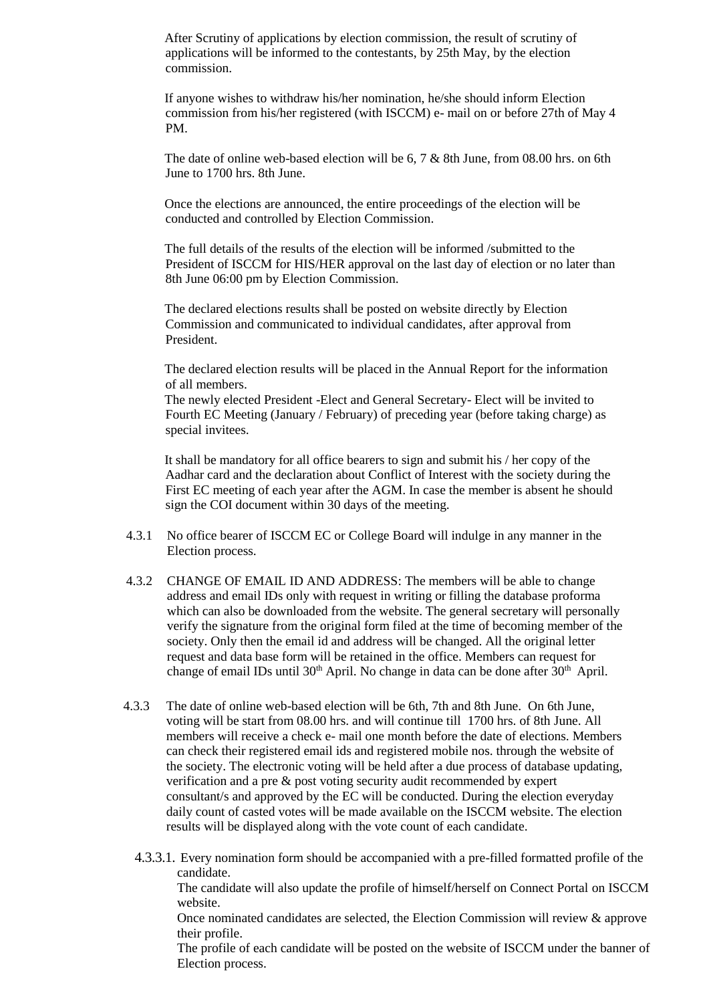After Scrutiny of applications by election commission, the result of scrutiny of applications will be informed to the contestants, by 25th May, by the election commission.

If anyone wishes to withdraw his/her nomination, he/she should inform Election commission from his/her registered (with ISCCM) e- mail on or before 27th of May 4 PM.

The date of online web-based election will be 6, 7 & 8th June, from 08.00 hrs. on 6th June to 1700 hrs. 8th June.

Once the elections are announced, the entire proceedings of the election will be conducted and controlled by Election Commission.

The full details of the results of the election will be informed /submitted to the President of ISCCM for HIS/HER approval on the last day of election or no later than 8th June 06:00 pm by Election Commission.

The declared elections results shall be posted on website directly by Election Commission and communicated to individual candidates, after approval from President.

The declared election results will be placed in the Annual Report for the information of all members.

The newly elected President -Elect and General Secretary- Elect will be invited to Fourth EC Meeting (January / February) of preceding year (before taking charge) as special invitees.

It shall be mandatory for all office bearers to sign and submit his / her copy of the Aadhar card and the declaration about Conflict of Interest with the society during the First EC meeting of each year after the AGM. In case the member is absent he should sign the COI document within 30 days of the meeting.

- 4.3.1 No office bearer of ISCCM EC or College Board will indulge in any manner in the Election process.
- 4.3.2 CHANGE OF EMAIL ID AND ADDRESS: The members will be able to change address and email IDs only with request in writing or filling the database proforma which can also be downloaded from the website. The general secretary will personally verify the signature from the original form filed at the time of becoming member of the society. Only then the email id and address will be changed. All the original letter request and data base form will be retained in the office. Members can request for change of email IDs until  $30<sup>th</sup>$  April. No change in data can be done after  $30<sup>th</sup>$  April.
- 4.3.3 The date of online web-based election will be 6th, 7th and 8th June. On 6th June, voting will be start from 08.00 hrs. and will continue till 1700 hrs. of 8th June. All members will receive a check e- mail one month before the date of elections. Members can check their registered email ids and registered mobile nos. through the website of the society. The electronic voting will be held after a due process of database updating, verification and a pre & post voting security audit recommended by expert consultant/s and approved by the EC will be conducted. During the election everyday daily count of casted votes will be made available on the ISCCM website. The election results will be displayed along with the vote count of each candidate.
	- 4.3.3.1. Every nomination form should be accompanied with a pre-filled formatted profile of the candidate.

The candidate will also update the profile of himself/herself on Connect Portal on ISCCM website.

Once nominated candidates are selected, the Election Commission will review & approve their profile.

The profile of each candidate will be posted on the website of ISCCM under the banner of Election process.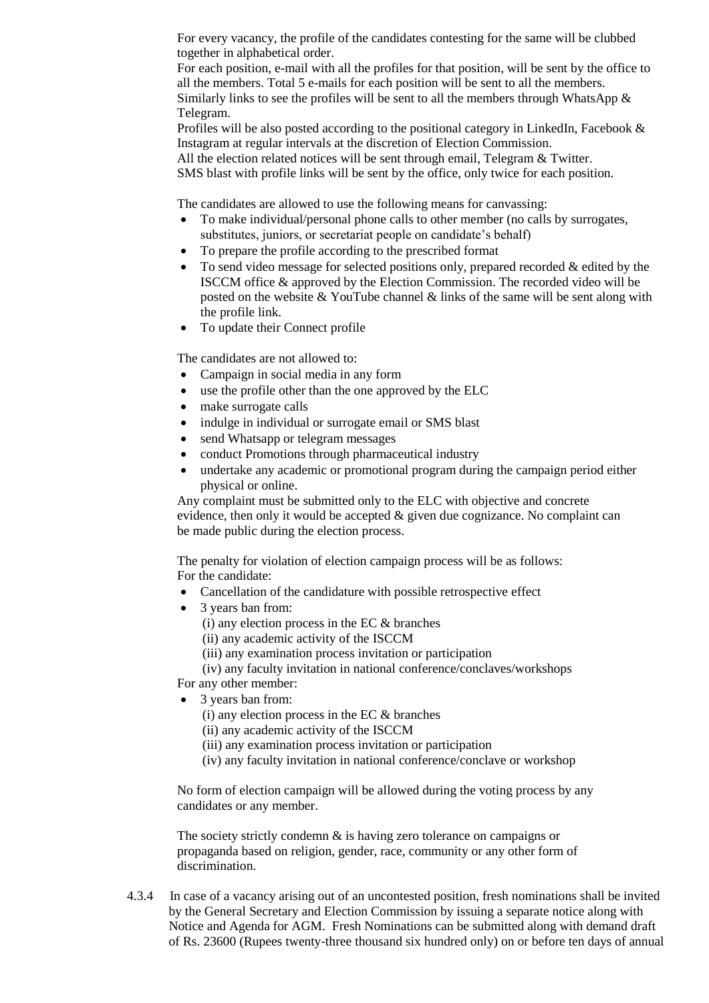For every vacancy, the profile of the candidates contesting for the same will be clubbed together in alphabetical order.

For each position, e-mail with all the profiles for that position, will be sent by the office to all the members. Total 5 e-mails for each position will be sent to all the members. Similarly links to see the profiles will be sent to all the members through WhatsApp  $\&$ Telegram.

Profiles will be also posted according to the positional category in LinkedIn, Facebook  $\&$ Instagram at regular intervals at the discretion of Election Commission.

All the election related notices will be sent through email, Telegram & Twitter.

SMS blast with profile links will be sent by the office, only twice for each position.

The candidates are allowed to use the following means for canvassing:

- To make individual/personal phone calls to other member (no calls by surrogates, substitutes, juniors, or secretariat people on candidate's behalf)
- To prepare the profile according to the prescribed format
- $\bullet$  To send video message for selected positions only, prepared recorded & edited by the ISCCM office & approved by the Election Commission. The recorded video will be posted on the website  $&$  YouTube channel  $&$  links of the same will be sent along with the profile link.
- To update their Connect profile

The candidates are not allowed to:

- Campaign in social media in any form
- use the profile other than the one approved by the ELC
- make surrogate calls
- indulge in individual or surrogate email or SMS blast
- send Whatsapp or telegram messages
- conduct Promotions through pharmaceutical industry
- undertake any academic or promotional program during the campaign period either physical or online.

Any complaint must be submitted only to the ELC with objective and concrete evidence, then only it would be accepted & given due cognizance. No complaint can be made public during the election process.

The penalty for violation of election campaign process will be as follows: For the candidate:

- Cancellation of the candidature with possible retrospective effect
- 3 years ban from:
	- (i) any election process in the EC & branches
	- (ii) any academic activity of the ISCCM
	- (iii) any examination process invitation or participation

(iv) any faculty invitation in national conference/conclaves/workshops

For any other member:

- 3 years ban from:
	- (i) any election process in the EC & branches
	- (ii) any academic activity of the ISCCM
	- (iii) any examination process invitation or participation
	- (iv) any faculty invitation in national conference/conclave or workshop

No form of election campaign will be allowed during the voting process by any candidates or any member.

The society strictly condemn  $\&$  is having zero tolerance on campaigns or propaganda based on religion, gender, race, community or any other form of discrimination.

4.3.4 In case of a vacancy arising out of an uncontested position, fresh nominations shall be invited by the General Secretary and Election Commission by issuing a separate notice along with Notice and Agenda for AGM. Fresh Nominations can be submitted along with demand draft of Rs. 23600 (Rupees twenty-three thousand six hundred only) on or before ten days of annual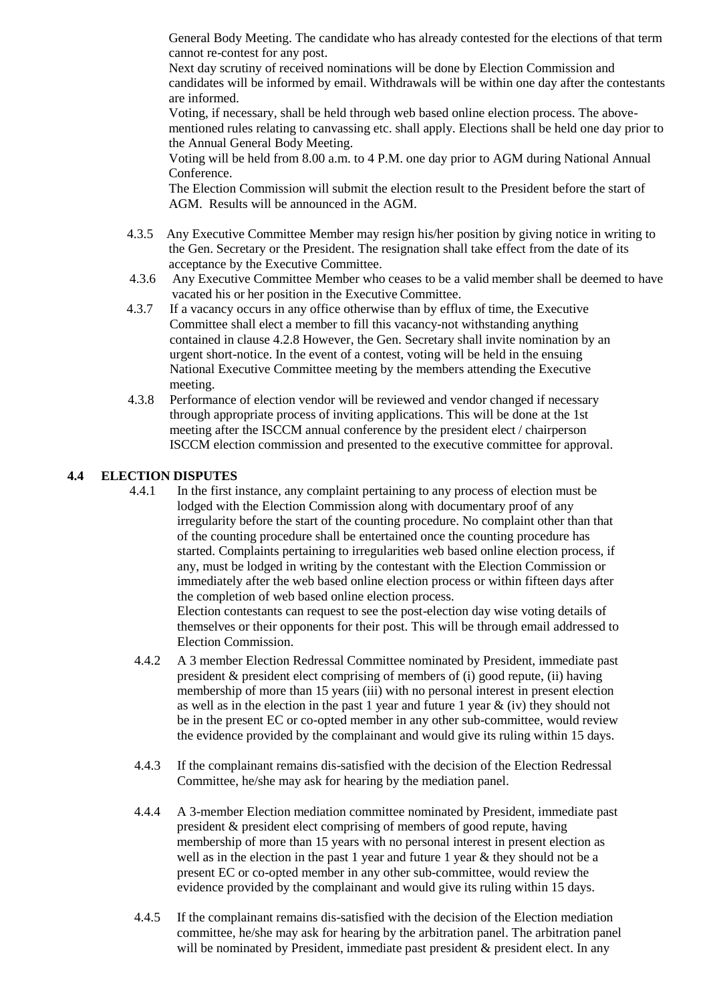General Body Meeting. The candidate who has already contested for the elections of that term cannot re-contest for any post.

Next day scrutiny of received nominations will be done by Election Commission and candidates will be informed by email. Withdrawals will be within one day after the contestants are informed.

Voting, if necessary, shall be held through web based online election process. The abovementioned rules relating to canvassing etc. shall apply. Elections shall be held one day prior to the Annual General Body Meeting.

Voting will be held from 8.00 a.m. to 4 P.M. one day prior to AGM during National Annual Conference.

The Election Commission will submit the election result to the President before the start of AGM. Results will be announced in the AGM.

- 4.3.5 Any Executive Committee Member may resign his/her position by giving notice in writing to the Gen. Secretary or the President. The resignation shall take effect from the date of its acceptance by the Executive Committee.
- 4.3.6 Any Executive Committee Member who ceases to be a valid member shall be deemed to have vacated his or her position in the Executive Committee.
- 4.3.7 If a vacancy occurs in any office otherwise than by efflux of time, the Executive Committee shall elect a member to fill this vacancy-not withstanding anything contained in clause 4.2.8 However, the Gen. Secretary shall invite nomination by an urgent short-notice. In the event of a contest, voting will be held in the ensuing National Executive Committee meeting by the members attending the Executive meeting.
- 4.3.8 Performance of election vendor will be reviewed and vendor changed if necessary through appropriate process of inviting applications. This will be done at the 1st meeting after the ISCCM annual conference by the president elect / chairperson ISCCM election commission and presented to the executive committee for approval.

# **4.4 ELECTION DISPUTES**

Election Commission.

- 4.4.1 In the first instance, any complaint pertaining to any process of election must be lodged with the Election Commission along with documentary proof of any irregularity before the start of the counting procedure. No complaint other than that of the counting procedure shall be entertained once the counting procedure has started. Complaints pertaining to irregularities web based online election process, if any, must be lodged in writing by the contestant with the Election Commission or immediately after the web based online election process or within fifteen days after the completion of web based online election process. Election contestants can request to see the post-election day wise voting details of themselves or their opponents for their post. This will be through email addressed to
- 4.4.2 A 3 member Election Redressal Committee nominated by President, immediate past president & president elect comprising of members of (i) good repute, (ii) having membership of more than 15 years (iii) with no personal interest in present election as well as in the election in the past 1 year and future 1 year  $\&$  (iv) they should not be in the present EC or co-opted member in any other sub-committee, would review the evidence provided by the complainant and would give its ruling within 15 days.
- 4.4.3 If the complainant remains dis-satisfied with the decision of the Election Redressal Committee, he/she may ask for hearing by the mediation panel.
- 4.4.4 A 3-member Election mediation committee nominated by President, immediate past president & president elect comprising of members of good repute, having membership of more than 15 years with no personal interest in present election as well as in the election in the past 1 year and future 1 year & they should not be a present EC or co-opted member in any other sub-committee, would review the evidence provided by the complainant and would give its ruling within 15 days.
- 4.4.5 If the complainant remains dis-satisfied with the decision of the Election mediation committee, he/she may ask for hearing by the arbitration panel. The arbitration panel will be nominated by President, immediate past president  $\&$  president elect. In any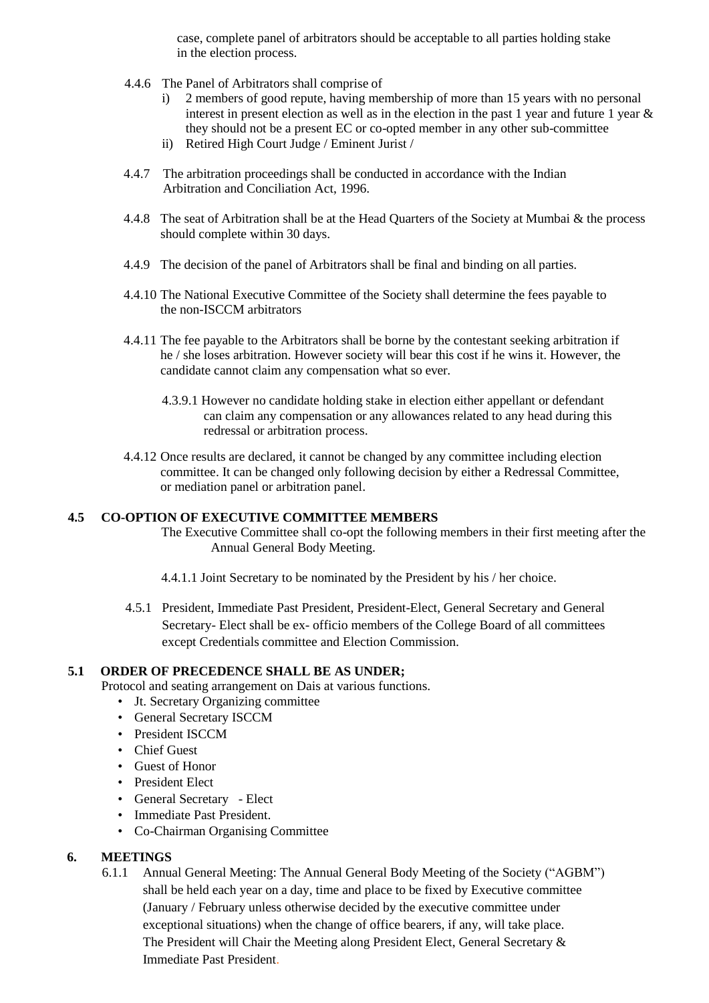case, complete panel of arbitrators should be acceptable to all parties holding stake in the election process.

- 4.4.6 The Panel of Arbitrators shall comprise of
	- i) 2 members of good repute, having membership of more than 15 years with no personal interest in present election as well as in the election in the past 1 year and future 1 year & they should not be a present EC or co-opted member in any other sub-committee
	- ii) Retired High Court Judge / Eminent Jurist /
- 4.4.7 The arbitration proceedings shall be conducted in accordance with the Indian Arbitration and Conciliation Act, 1996.
- 4.4.8 The seat of Arbitration shall be at the Head Quarters of the Society at Mumbai & the process should complete within 30 days.
- 4.4.9 The decision of the panel of Arbitrators shall be final and binding on all parties.
- 4.4.10 The National Executive Committee of the Society shall determine the fees payable to the non-ISCCM arbitrators
- 4.4.11 The fee payable to the Arbitrators shall be borne by the contestant seeking arbitration if he / she loses arbitration. However society will bear this cost if he wins it. However, the candidate cannot claim any compensation what so ever.
	- 4.3.9.1 However no candidate holding stake in election either appellant or defendant can claim any compensation or any allowances related to any head during this redressal or arbitration process.
- 4.4.12 Once results are declared, it cannot be changed by any committee including election committee. It can be changed only following decision by either a Redressal Committee, or mediation panel or arbitration panel.

# **4.5 CO-OPTION OF EXECUTIVE COMMITTEE MEMBERS**

The Executive Committee shall co-opt the following members in their first meeting after the Annual General Body Meeting.

- 4.4.1.1 Joint Secretary to be nominated by the President by his / her choice.
- 4.5.1 President, Immediate Past President, President-Elect, General Secretary and General Secretary- Elect shall be ex- officio members of the College Board of all committees except Credentials committee and Election Commission.

# **5.1 ORDER OF PRECEDENCE SHALL BE AS UNDER;**

Protocol and seating arrangement on Dais at various functions.

- Jt. Secretary Organizing committee
- General Secretary ISCCM
- President ISCCM
- Chief Guest
- Guest of Honor
- President Elect
- General Secretary Elect
- Immediate Past President.
- Co-Chairman Organising Committee

#### **6. MEETINGS**

6.1.1 Annual General Meeting: The Annual General Body Meeting of the Society ("AGBM") shall be held each year on a day, time and place to be fixed by Executive committee (January / February unless otherwise decided by the executive committee under exceptional situations) when the change of office bearers, if any, will take place. The President will Chair the Meeting along President Elect, General Secretary & Immediate Past President.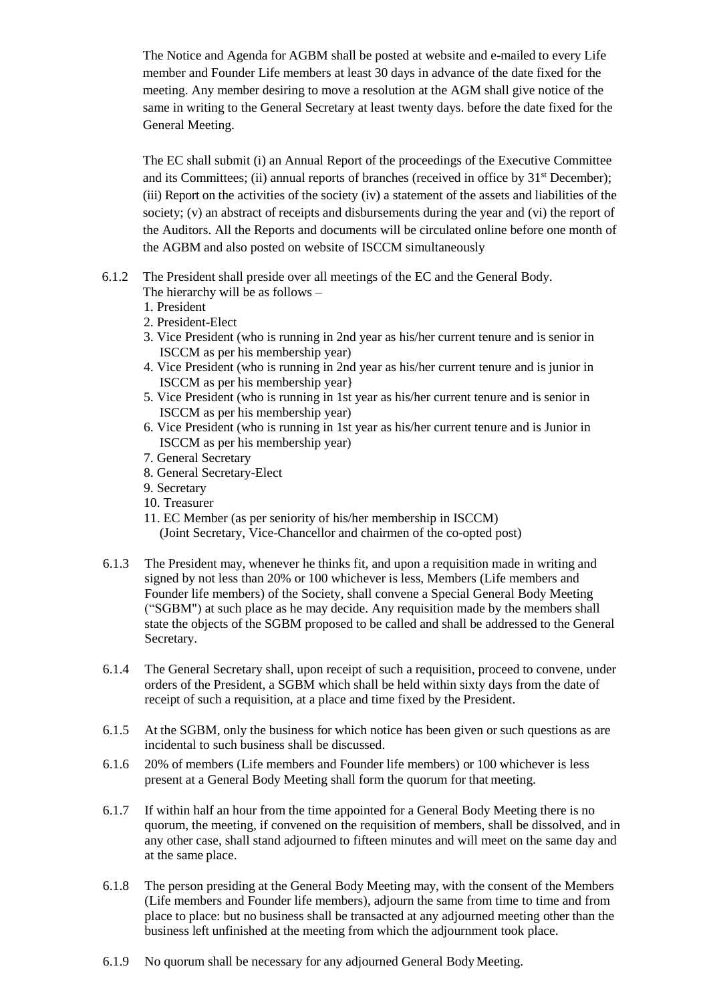The Notice and Agenda for AGBM shall be posted at website and e-mailed to every Life member and Founder Life members at least 30 days in advance of the date fixed for the meeting. Any member desiring to move a resolution at the AGM shall give notice of the same in writing to the General Secretary at least twenty days. before the date fixed for the General Meeting.

The EC shall submit (i) an Annual Report of the proceedings of the Executive Committee and its Committees; (ii) annual reports of branches (received in office by 31<sup>st</sup> December); (iii) Report on the activities of the society (iv) a statement of the assets and liabilities of the society; (v) an abstract of receipts and disbursements during the year and (vi) the report of the Auditors. All the Reports and documents will be circulated online before one month of the AGBM and also posted on website of ISCCM simultaneously

- 6.1.2 The President shall preside over all meetings of the EC and the General Body. The hierarchy will be as follows –
	- 1. President
	- 2. President-Elect
	- 3. Vice President (who is running in 2nd year as his/her current tenure and is senior in ISCCM as per his membership year)
	- 4. Vice President (who is running in 2nd year as his/her current tenure and is junior in ISCCM as per his membership year}
	- 5. Vice President (who is running in 1st year as his/her current tenure and is senior in ISCCM as per his membership year)
	- 6. Vice President (who is running in 1st year as his/her current tenure and is Junior in ISCCM as per his membership year)
	- 7. General Secretary
	- 8. General Secretary-Elect
	- 9. Secretary
	- 10. Treasurer
	- 11. EC Member (as per seniority of his/her membership in ISCCM) (Joint Secretary, Vice-Chancellor and chairmen of the co-opted post)
- 6.1.3 The President may, whenever he thinks fit, and upon a requisition made in writing and signed by not less than 20% or 100 whichever is less, Members (Life members and Founder life members) of the Society, shall convene a Special General Body Meeting ("SGBM") at such place as he may decide. Any requisition made by the members shall state the objects of the SGBM proposed to be called and shall be addressed to the General Secretary.
- 6.1.4 The General Secretary shall, upon receipt of such a requisition, proceed to convene, under orders of the President, a SGBM which shall be held within sixty days from the date of receipt of such a requisition, at a place and time fixed by the President.
- 6.1.5 At the SGBM, only the business for which notice has been given or such questions as are incidental to such business shall be discussed.
- 6.1.6 20% of members (Life members and Founder life members) or 100 whichever is less present at a General Body Meeting shall form the quorum for that meeting.
- 6.1.7 If within half an hour from the time appointed for a General Body Meeting there is no quorum, the meeting, if convened on the requisition of members, shall be dissolved, and in any other case, shall stand adjourned to fifteen minutes and will meet on the same day and at the same place.
- 6.1.8 The person presiding at the General Body Meeting may, with the consent of the Members (Life members and Founder life members), adjourn the same from time to time and from place to place: but no business shall be transacted at any adjourned meeting other than the business left unfinished at the meeting from which the adjournment took place.
- 6.1.9 No quorum shall be necessary for any adjourned General BodyMeeting.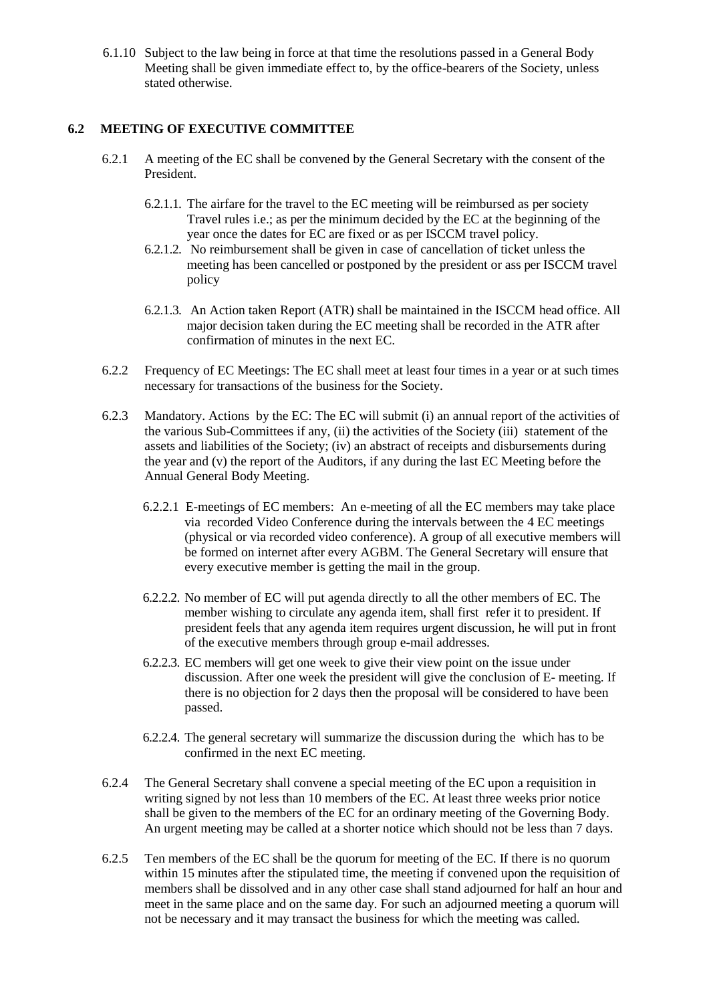6.1.10 Subject to the law being in force at that time the resolutions passed in a General Body Meeting shall be given immediate effect to, by the office-bearers of the Society, unless stated otherwise.

## **6.2 MEETING OF EXECUTIVE COMMITTEE**

- 6.2.1 A meeting of the EC shall be convened by the General Secretary with the consent of the President.
	- 6.2.1.1. The airfare for the travel to the EC meeting will be reimbursed as per society Travel rules i.e.; as per the minimum decided by the EC at the beginning of the year once the dates for EC are fixed or as per ISCCM travel policy.
	- 6.2.1.2. No reimbursement shall be given in case of cancellation of ticket unless the meeting has been cancelled or postponed by the president or ass per ISCCM travel policy
	- 6.2.1.3. An Action taken Report (ATR) shall be maintained in the ISCCM head office. All major decision taken during the EC meeting shall be recorded in the ATR after confirmation of minutes in the next EC.
- 6.2.2 Frequency of EC Meetings: The EC shall meet at least four times in a year or at such times necessary for transactions of the business for the Society.
- 6.2.3 Mandatory. Actions by the EC: The EC will submit (i) an annual report of the activities of the various Sub-Committees if any, (ii) the activities of the Society (iii) statement of the assets and liabilities of the Society; (iv) an abstract of receipts and disbursements during the year and (v) the report of the Auditors, if any during the last EC Meeting before the Annual General Body Meeting.
	- 6.2.2.1 E-meetings of EC members: An e-meeting of all the EC members may take place via recorded Video Conference during the intervals between the 4 EC meetings (physical or via recorded video conference). A group of all executive members will be formed on internet after every AGBM. The General Secretary will ensure that every executive member is getting the mail in the group.
	- 6.2.2.2. No member of EC will put agenda directly to all the other members of EC. The member wishing to circulate any agenda item, shall first refer it to president. If president feels that any agenda item requires urgent discussion, he will put in front of the executive members through group e-mail addresses.
	- 6.2.2.3. EC members will get one week to give their view point on the issue under discussion. After one week the president will give the conclusion of E- meeting. If there is no objection for 2 days then the proposal will be considered to have been passed.
	- 6.2.2.4. The general secretary will summarize the discussion during the which has to be confirmed in the next EC meeting.
- 6.2.4 The General Secretary shall convene a special meeting of the EC upon a requisition in writing signed by not less than 10 members of the EC. At least three weeks prior notice shall be given to the members of the EC for an ordinary meeting of the Governing Body. An urgent meeting may be called at a shorter notice which should not be less than 7 days.
- 6.2.5 Ten members of the EC shall be the quorum for meeting of the EC. If there is no quorum within 15 minutes after the stipulated time, the meeting if convened upon the requisition of members shall be dissolved and in any other case shall stand adjourned for half an hour and meet in the same place and on the same day. For such an adjourned meeting a quorum will not be necessary and it may transact the business for which the meeting was called.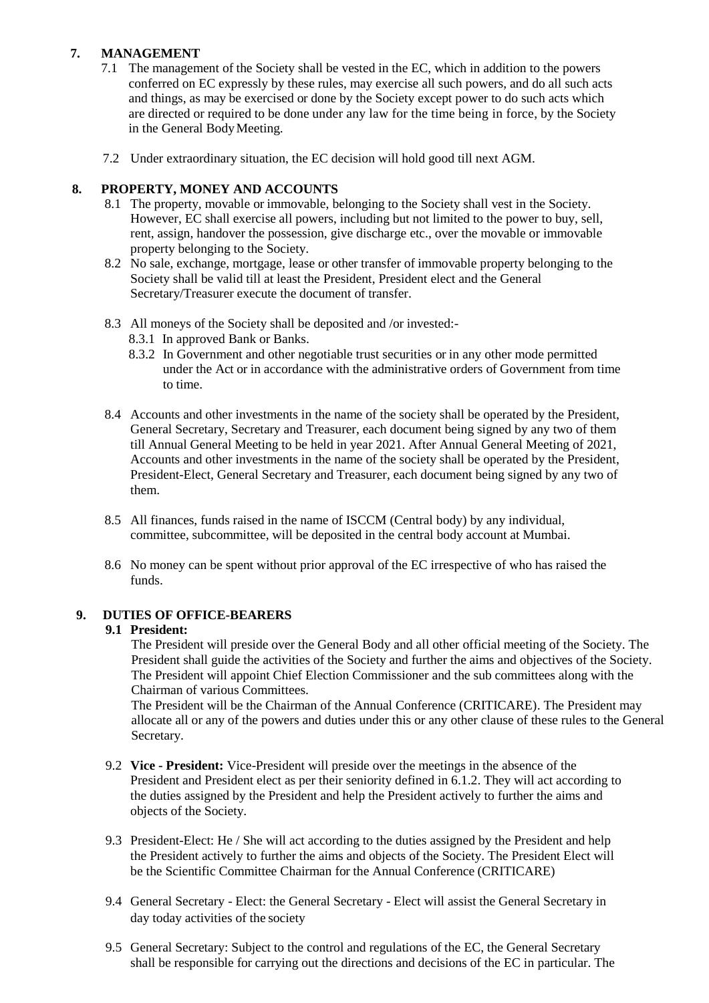# **7. MANAGEMENT**

- 7.1 The management of the Society shall be vested in the EC, which in addition to the powers conferred on EC expressly by these rules, may exercise all such powers, and do all such acts and things, as may be exercised or done by the Society except power to do such acts which are directed or required to be done under any law for the time being in force, by the Society in the General BodyMeeting.
- 7.2 Under extraordinary situation, the EC decision will hold good till next AGM.

# **8. PROPERTY, MONEY AND ACCOUNTS**

- 8.1 The property, movable or immovable, belonging to the Society shall vest in the Society. However, EC shall exercise all powers, including but not limited to the power to buy, sell, rent, assign, handover the possession, give discharge etc., over the movable or immovable property belonging to the Society.
- 8.2 No sale, exchange, mortgage, lease or other transfer of immovable property belonging to the Society shall be valid till at least the President, President elect and the General Secretary/Treasurer execute the document of transfer.
- 8.3 All moneys of the Society shall be deposited and /or invested:-
	- 8.3.1 In approved Bank or Banks.
	- 8.3.2 In Government and other negotiable trust securities or in any other mode permitted under the Act or in accordance with the administrative orders of Government from time to time.
- 8.4 Accounts and other investments in the name of the society shall be operated by the President, General Secretary, Secretary and Treasurer, each document being signed by any two of them till Annual General Meeting to be held in year 2021. After Annual General Meeting of 2021, Accounts and other investments in the name of the society shall be operated by the President, President-Elect, General Secretary and Treasurer, each document being signed by any two of them.
- 8.5 All finances, funds raised in the name of ISCCM (Central body) by any individual, committee, subcommittee, will be deposited in the central body account at Mumbai.
- 8.6 No money can be spent without prior approval of the EC irrespective of who has raised the funds.

# **9. DUTIES OF OFFICE-BEARERS**

# **9.1 President:**

The President will preside over the General Body and all other official meeting of the Society. The President shall guide the activities of the Society and further the aims and objectives of the Society. The President will appoint Chief Election Commissioner and the sub committees along with the Chairman of various Committees.

The President will be the Chairman of the Annual Conference (CRITICARE). The President may allocate all or any of the powers and duties under this or any other clause of these rules to the General Secretary.

- 9.2 **Vice - President:** Vice-President will preside over the meetings in the absence of the President and President elect as per their seniority defined in 6.1.2. They will act according to the duties assigned by the President and help the President actively to further the aims and objects of the Society.
- 9.3 President-Elect: He / She will act according to the duties assigned by the President and help the President actively to further the aims and objects of the Society. The President Elect will be the Scientific Committee Chairman for the Annual Conference (CRITICARE)
- 9.4 General Secretary Elect: the General Secretary Elect will assist the General Secretary in day today activities of the society
- 9.5 General Secretary: Subject to the control and regulations of the EC, the General Secretary shall be responsible for carrying out the directions and decisions of the EC in particular. The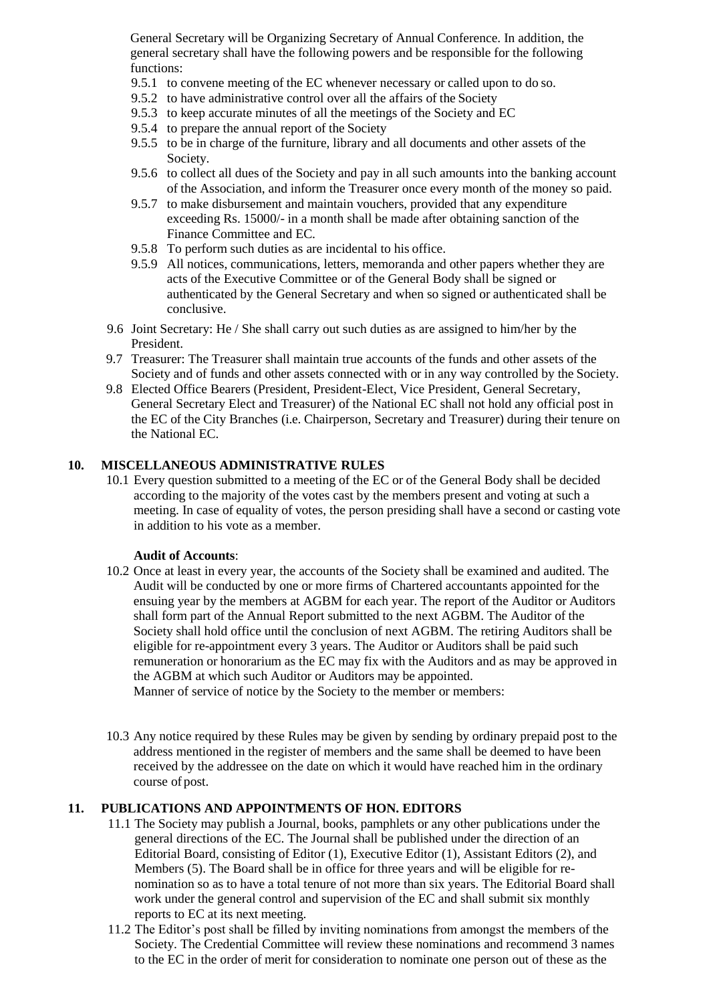General Secretary will be Organizing Secretary of Annual Conference. In addition, the general secretary shall have the following powers and be responsible for the following functions:

- 9.5.1 to convene meeting of the EC whenever necessary or called upon to do so.
- 9.5.2 to have administrative control over all the affairs of the Society
- 9.5.3 to keep accurate minutes of all the meetings of the Society and EC
- 9.5.4 to prepare the annual report of the Society
- 9.5.5 to be in charge of the furniture, library and all documents and other assets of the Society.
- 9.5.6 to collect all dues of the Society and pay in all such amounts into the banking account of the Association, and inform the Treasurer once every month of the money so paid.
- 9.5.7 to make disbursement and maintain vouchers, provided that any expenditure exceeding Rs. 15000/- in a month shall be made after obtaining sanction of the Finance Committee and EC.
- 9.5.8 To perform such duties as are incidental to his office.
- 9.5.9 All notices, communications, letters, memoranda and other papers whether they are acts of the Executive Committee or of the General Body shall be signed or authenticated by the General Secretary and when so signed or authenticated shall be conclusive.
- 9.6 Joint Secretary: He / She shall carry out such duties as are assigned to him/her by the President.
- 9.7 Treasurer: The Treasurer shall maintain true accounts of the funds and other assets of the Society and of funds and other assets connected with or in any way controlled by the Society.
- 9.8 Elected Office Bearers (President, President-Elect, Vice President, General Secretary, General Secretary Elect and Treasurer) of the National EC shall not hold any official post in the EC of the City Branches (i.e. Chairperson, Secretary and Treasurer) during their tenure on the National EC.

# **10. MISCELLANEOUS ADMINISTRATIVE RULES**

10.1 Every question submitted to a meeting of the EC or of the General Body shall be decided according to the majority of the votes cast by the members present and voting at such a meeting. In case of equality of votes, the person presiding shall have a second or casting vote in addition to his vote as a member.

#### **Audit of Accounts**:

10.2 Once at least in every year, the accounts of the Society shall be examined and audited. The Audit will be conducted by one or more firms of Chartered accountants appointed for the ensuing year by the members at AGBM for each year. The report of the Auditor or Auditors shall form part of the Annual Report submitted to the next AGBM. The Auditor of the Society shall hold office until the conclusion of next AGBM. The retiring Auditors shall be eligible for re-appointment every 3 years. The Auditor or Auditors shall be paid such remuneration or honorarium as the EC may fix with the Auditors and as may be approved in the AGBM at which such Auditor or Auditors may be appointed.

Manner of service of notice by the Society to the member or members:

10.3 Any notice required by these Rules may be given by sending by ordinary prepaid post to the address mentioned in the register of members and the same shall be deemed to have been received by the addressee on the date on which it would have reached him in the ordinary course of post.

# **11. PUBLICATIONS AND APPOINTMENTS OF HON. EDITORS**

- 11.1 The Society may publish a Journal, books, pamphlets or any other publications under the general directions of the EC. The Journal shall be published under the direction of an Editorial Board, consisting of Editor (1), Executive Editor (1), Assistant Editors (2), and Members (5). The Board shall be in office for three years and will be eligible for renomination so as to have a total tenure of not more than six years. The Editorial Board shall work under the general control and supervision of the EC and shall submit six monthly reports to EC at its next meeting.
- 11.2 The Editor's post shall be filled by inviting nominations from amongst the members of the Society. The Credential Committee will review these nominations and recommend 3 names to the EC in the order of merit for consideration to nominate one person out of these as the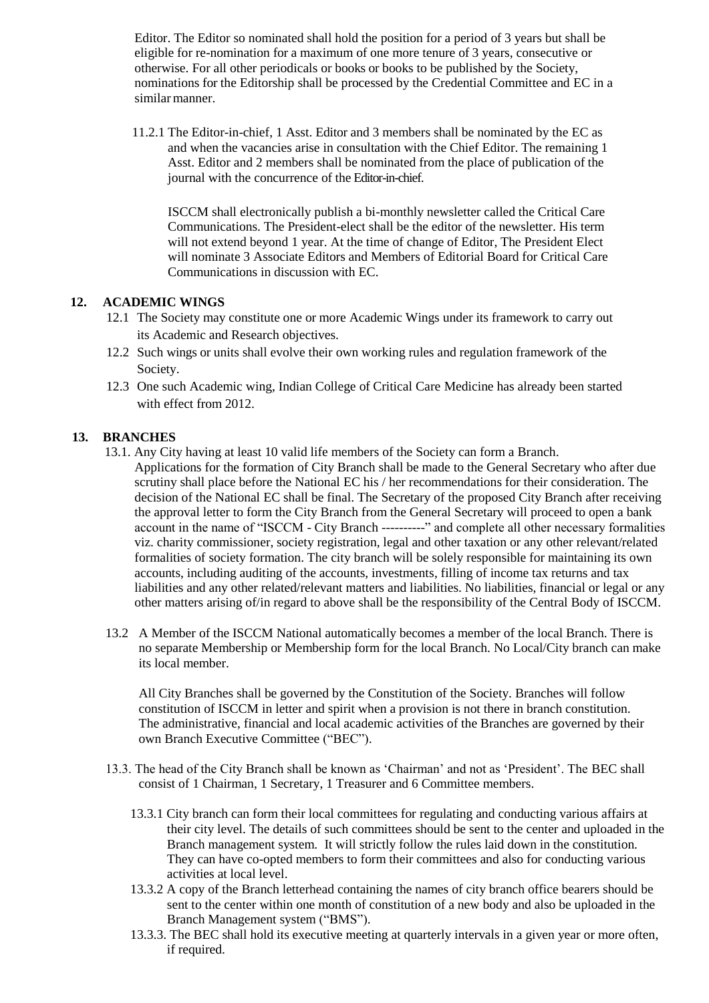Editor. The Editor so nominated shall hold the position for a period of 3 years but shall be eligible for re-nomination for a maximum of one more tenure of 3 years, consecutive or otherwise. For all other periodicals or books or books to be published by the Society, nominations for the Editorship shall be processed by the Credential Committee and EC in a similar manner.

11.2.1 The Editor-in-chief, 1 Asst. Editor and 3 members shall be nominated by the EC as and when the vacancies arise in consultation with the Chief Editor. The remaining 1 Asst. Editor and 2 members shall be nominated from the place of publication of the journal with the concurrence of the Editor-in-chief.

ISCCM shall electronically publish a bi-monthly newsletter called the Critical Care Communications. The President-elect shall be the editor of the newsletter. His term will not extend beyond 1 year. At the time of change of Editor, The President Elect will nominate 3 Associate Editors and Members of Editorial Board for Critical Care Communications in discussion with EC.

# **12. ACADEMIC WINGS**

- 12.1 The Society may constitute one or more Academic Wings under its framework to carry out its Academic and Research objectives.
- 12.2 Such wings or units shall evolve their own working rules and regulation framework of the Society.
- 12.3 One such Academic wing, Indian College of Critical Care Medicine has already been started with effect from 2012.

# **13. BRANCHES**

- 13.1. Any City having at least 10 valid life members of the Society can form a Branch. Applications for the formation of City Branch shall be made to the General Secretary who after due scrutiny shall place before the National EC his / her recommendations for their consideration. The decision of the National EC shall be final. The Secretary of the proposed City Branch after receiving the approval letter to form the City Branch from the General Secretary will proceed to open a bank account in the name of "ISCCM - City Branch ----------" and complete all other necessary formalities viz. charity commissioner, society registration, legal and other taxation or any other relevant/related formalities of society formation. The city branch will be solely responsible for maintaining its own accounts, including auditing of the accounts, investments, filling of income tax returns and tax liabilities and any other related/relevant matters and liabilities. No liabilities, financial or legal or any other matters arising of/in regard to above shall be the responsibility of the Central Body of ISCCM.
- 13.2 A Member of the ISCCM National automatically becomes a member of the local Branch. There is no separate Membership or Membership form for the local Branch. No Local/City branch can make its local member.

All City Branches shall be governed by the Constitution of the Society. Branches will follow constitution of ISCCM in letter and spirit when a provision is not there in branch constitution. The administrative, financial and local academic activities of the Branches are governed by their own Branch Executive Committee ("BEC").

- 13.3. The head of the City Branch shall be known as 'Chairman' and not as 'President'. The BEC shall consist of 1 Chairman, 1 Secretary, 1 Treasurer and 6 Committee members.
	- 13.3.1 City branch can form their local committees for regulating and conducting various affairs at their city level. The details of such committees should be sent to the center and uploaded in the Branch management system. It will strictly follow the rules laid down in the constitution. They can have co-opted members to form their committees and also for conducting various activities at local level.
	- 13.3.2 A copy of the Branch letterhead containing the names of city branch office bearers should be sent to the center within one month of constitution of a new body and also be uploaded in the Branch Management system ("BMS").
	- 13.3.3. The BEC shall hold its executive meeting at quarterly intervals in a given year or more often, if required.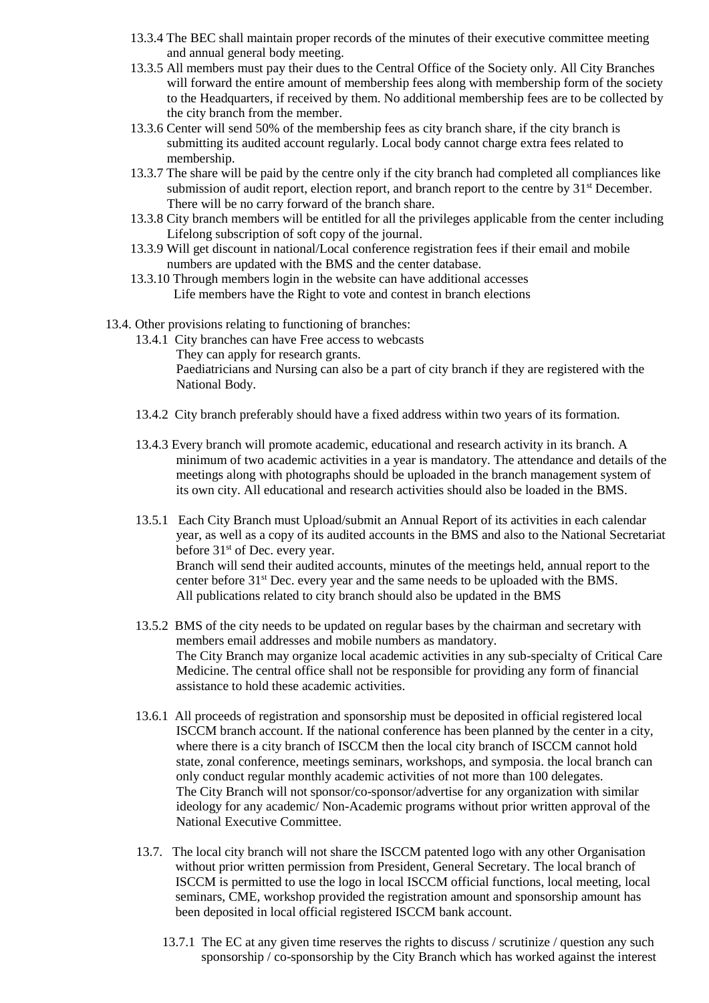- 13.3.4 The BEC shall maintain proper records of the minutes of their executive committee meeting and annual general body meeting.
- 13.3.5 All members must pay their dues to the Central Office of the Society only. All City Branches will forward the entire amount of membership fees along with membership form of the society to the Headquarters, if received by them. No additional membership fees are to be collected by the city branch from the member.
- 13.3.6 Center will send 50% of the membership fees as city branch share, if the city branch is submitting its audited account regularly. Local body cannot charge extra fees related to membership.
- 13.3.7 The share will be paid by the centre only if the city branch had completed all compliances like submission of audit report, election report, and branch report to the centre by 31<sup>st</sup> December. There will be no carry forward of the branch share.
- 13.3.8 City branch members will be entitled for all the privileges applicable from the center including Lifelong subscription of soft copy of the journal.
- 13.3.9 Will get discount in national/Local conference registration fees if their email and mobile numbers are updated with the BMS and the center database.
- 13.3.10 Through members login in the website can have additional accesses Life members have the Right to vote and contest in branch elections
- 13.4. Other provisions relating to functioning of branches:
	- 13.4.1 City branches can have Free access to webcasts They can apply for research grants. Paediatricians and Nursing can also be a part of city branch if they are registered with the National Body.
	- 13.4.2 City branch preferably should have a fixed address within two years of its formation.
	- 13.4.3 Every branch will promote academic, educational and research activity in its branch. A minimum of two academic activities in a year is mandatory. The attendance and details of the meetings along with photographs should be uploaded in the branch management system of its own city. All educational and research activities should also be loaded in the BMS.
	- 13.5.1 Each City Branch must Upload/submit an Annual Report of its activities in each calendar year, as well as a copy of its audited accounts in the BMS and also to the National Secretariat before 31<sup>st</sup> of Dec. every year. Branch will send their audited accounts, minutes of the meetings held, annual report to the center before 31st Dec. every year and the same needs to be uploaded with the BMS. All publications related to city branch should also be updated in the BMS
	- 13.5.2 BMS of the city needs to be updated on regular bases by the chairman and secretary with members email addresses and mobile numbers as mandatory. The City Branch may organize local academic activities in any sub-specialty of Critical Care Medicine. The central office shall not be responsible for providing any form of financial assistance to hold these academic activities.
	- 13.6.1 All proceeds of registration and sponsorship must be deposited in official registered local ISCCM branch account. If the national conference has been planned by the center in a city, where there is a city branch of ISCCM then the local city branch of ISCCM cannot hold state, zonal conference, meetings seminars, workshops, and symposia. the local branch can only conduct regular monthly academic activities of not more than 100 delegates. The City Branch will not sponsor/co-sponsor/advertise for any organization with similar ideology for any academic/ Non-Academic programs without prior written approval of the National Executive Committee.
	- 13.7. The local city branch will not share the ISCCM patented logo with any other Organisation without prior written permission from President, General Secretary. The local branch of ISCCM is permitted to use the logo in local ISCCM official functions, local meeting, local seminars, CME, workshop provided the registration amount and sponsorship amount has been deposited in local official registered ISCCM bank account.
		- 13.7.1 The EC at any given time reserves the rights to discuss / scrutinize / question any such sponsorship / co-sponsorship by the City Branch which has worked against the interest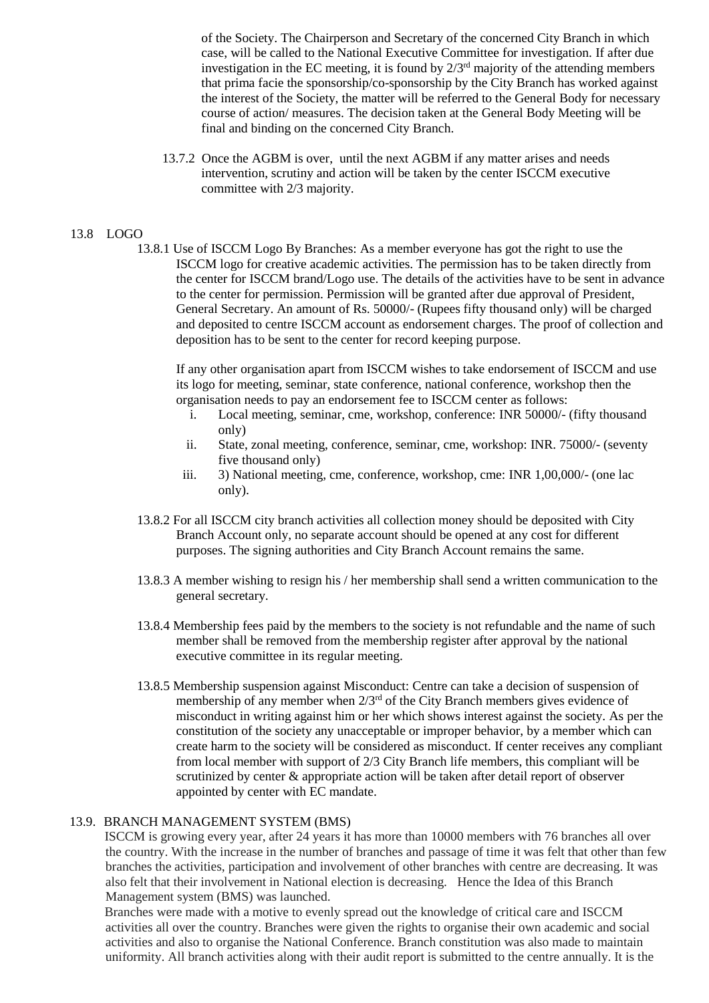of the Society. The Chairperson and Secretary of the concerned City Branch in which case, will be called to the National Executive Committee for investigation. If after due investigation in the EC meeting, it is found by  $2/3<sup>rd</sup>$  majority of the attending members that prima facie the sponsorship/co-sponsorship by the City Branch has worked against the interest of the Society, the matter will be referred to the General Body for necessary course of action/ measures. The decision taken at the General Body Meeting will be final and binding on the concerned City Branch.

13.7.2 Once the AGBM is over, until the next AGBM if any matter arises and needs intervention, scrutiny and action will be taken by the center ISCCM executive committee with 2/3 majority.

#### 13.8 LOGO

13.8.1 Use of ISCCM Logo By Branches: As a member everyone has got the right to use the ISCCM logo for creative academic activities. The permission has to be taken directly from the center for ISCCM brand/Logo use. The details of the activities have to be sent in advance to the center for permission. Permission will be granted after due approval of President, General Secretary. An amount of Rs. 50000/- (Rupees fifty thousand only) will be charged and deposited to centre ISCCM account as endorsement charges. The proof of collection and deposition has to be sent to the center for record keeping purpose.

If any other organisation apart from ISCCM wishes to take endorsement of ISCCM and use its logo for meeting, seminar, state conference, national conference, workshop then the organisation needs to pay an endorsement fee to ISCCM center as follows:

- i. Local meeting, seminar, cme, workshop, conference: INR 50000/- (fifty thousand only)
- ii. State, zonal meeting, conference, seminar, cme, workshop: INR. 75000/- (seventy five thousand only)
- iii. 3) National meeting, cme, conference, workshop, cme: INR 1,00,000/- (one lac only).
- 13.8.2 For all ISCCM city branch activities all collection money should be deposited with City Branch Account only, no separate account should be opened at any cost for different purposes. The signing authorities and City Branch Account remains the same.
- 13.8.3 A member wishing to resign his / her membership shall send a written communication to the general secretary.
- 13.8.4 Membership fees paid by the members to the society is not refundable and the name of such member shall be removed from the membership register after approval by the national executive committee in its regular meeting.
- 13.8.5 Membership suspension against Misconduct: Centre can take a decision of suspension of membership of any member when 2/3rd of the City Branch members gives evidence of misconduct in writing against him or her which shows interest against the society. As per the constitution of the society any unacceptable or improper behavior, by a member which can create harm to the society will be considered as misconduct. If center receives any compliant from local member with support of 2/3 City Branch life members, this compliant will be scrutinized by center & appropriate action will be taken after detail report of observer appointed by center with EC mandate.

#### 13.9. BRANCH MANAGEMENT SYSTEM (BMS)

ISCCM is growing every year, after 24 years it has more than 10000 members with 76 branches all over the country. With the increase in the number of branches and passage of time it was felt that other than few branches the activities, participation and involvement of other branches with centre are decreasing. It was also felt that their involvement in National election is decreasing. Hence the Idea of this Branch Management system (BMS) was launched.

Branches were made with a motive to evenly spread out the knowledge of critical care and ISCCM activities all over the country. Branches were given the rights to organise their own academic and social activities and also to organise the National Conference. Branch constitution was also made to maintain uniformity. All branch activities along with their audit report is submitted to the centre annually. It is the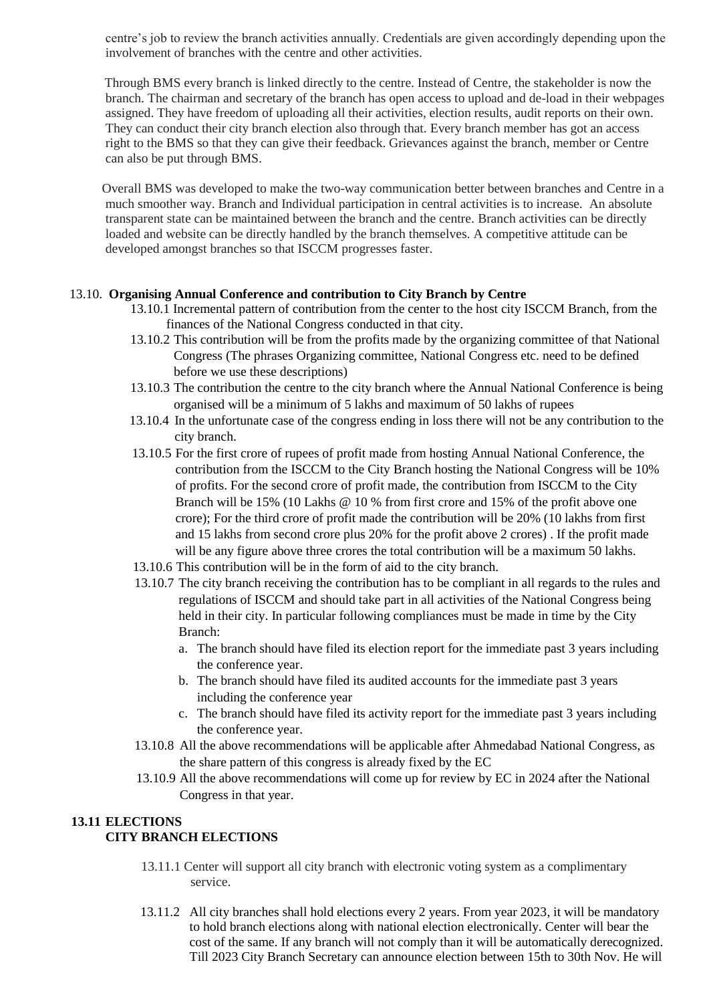centre's job to review the branch activities annually. Credentials are given accordingly depending upon the involvement of branches with the centre and other activities.

Through BMS every branch is linked directly to the centre. Instead of Centre, the stakeholder is now the branch. The chairman and secretary of the branch has open access to upload and de-load in their webpages assigned. They have freedom of uploading all their activities, election results, audit reports on their own. They can conduct their city branch election also through that. Every branch member has got an access right to the BMS so that they can give their feedback. Grievances against the branch, member or Centre can also be put through BMS.

Overall BMS was developed to make the two-way communication better between branches and Centre in a much smoother way. Branch and Individual participation in central activities is to increase. An absolute transparent state can be maintained between the branch and the centre. Branch activities can be directly loaded and website can be directly handled by the branch themselves. A competitive attitude can be developed amongst branches so that ISCCM progresses faster.

#### 13.10. **Organising Annual Conference and contribution to City Branch by Centre**

- 13.10.1 Incremental pattern of contribution from the center to the host city ISCCM Branch, from the finances of the National Congress conducted in that city.
- 13.10.2 This contribution will be from the profits made by the organizing committee of that National Congress (The phrases Organizing committee, National Congress etc. need to be defined before we use these descriptions)
- 13.10.3 The contribution the centre to the city branch where the Annual National Conference is being organised will be a minimum of 5 lakhs and maximum of 50 lakhs of rupees
- 13.10.4 In the unfortunate case of the congress ending in loss there will not be any contribution to the city branch.
- 13.10.5 For the first crore of rupees of profit made from hosting Annual National Conference, the contribution from the ISCCM to the City Branch hosting the National Congress will be 10% of profits. For the second crore of profit made, the contribution from ISCCM to the City Branch will be 15% (10 Lakhs @ 10 % from first crore and 15% of the profit above one crore); For the third crore of profit made the contribution will be 20% (10 lakhs from first and 15 lakhs from second crore plus 20% for the profit above 2 crores) . If the profit made will be any figure above three crores the total contribution will be a maximum 50 lakhs.
- 13.10.6 This contribution will be in the form of aid to the city branch.
- 13.10.7 The city branch receiving the contribution has to be compliant in all regards to the rules and regulations of ISCCM and should take part in all activities of the National Congress being held in their city. In particular following compliances must be made in time by the City Branch:
	- a. The branch should have filed its election report for the immediate past 3 years including the conference year.
	- b. The branch should have filed its audited accounts for the immediate past 3 years including the conference year
	- c. The branch should have filed its activity report for the immediate past 3 years including the conference year.
- 13.10.8 All the above recommendations will be applicable after Ahmedabad National Congress, as the share pattern of this congress is already fixed by the EC
- 13.10.9 All the above recommendations will come up for review by EC in 2024 after the National Congress in that year.

# **13.11 ELECTIONS CITY BRANCH ELECTIONS**

- 13.11.1 Center will support all city branch with electronic voting system as a complimentary service.
- 13.11.2 All city branches shall hold elections every 2 years. From year 2023, it will be mandatory to hold branch elections along with national election electronically. Center will bear the cost of the same. If any branch will not comply than it will be automatically derecognized. Till 2023 City Branch Secretary can announce election between 15th to 30th Nov. He will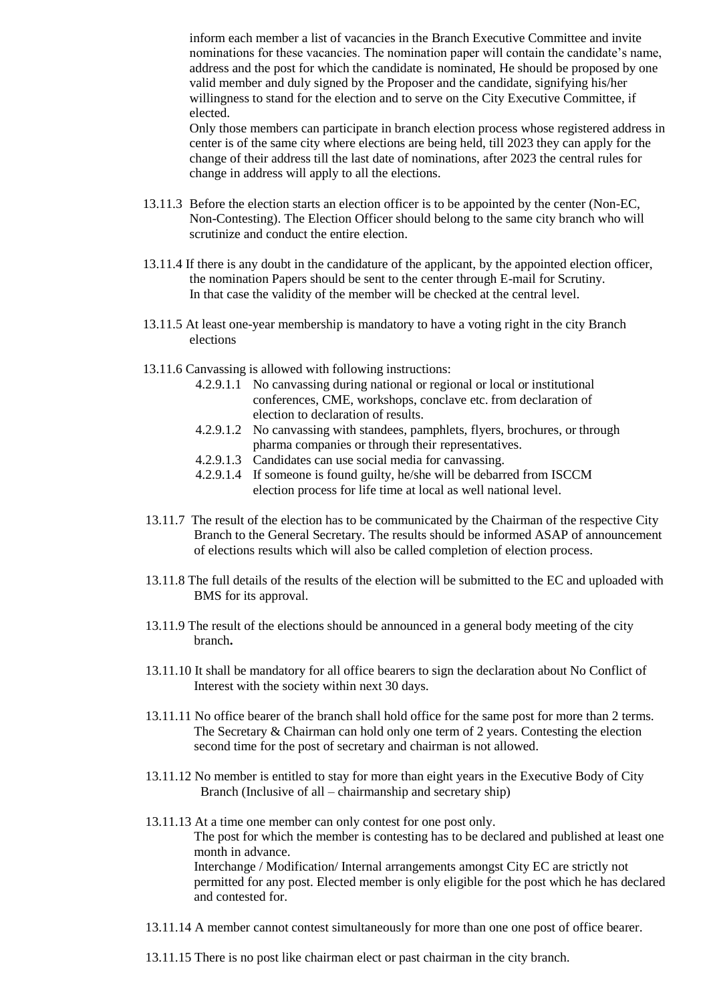inform each member a list of vacancies in the Branch Executive Committee and invite nominations for these vacancies. The nomination paper will contain the candidate's name, address and the post for which the candidate is nominated, He should be proposed by one valid member and duly signed by the Proposer and the candidate, signifying his/her willingness to stand for the election and to serve on the City Executive Committee, if elected.

Only those members can participate in branch election process whose registered address in center is of the same city where elections are being held, till 2023 they can apply for the change of their address till the last date of nominations, after 2023 the central rules for change in address will apply to all the elections.

- 13.11.3 Before the election starts an election officer is to be appointed by the center (Non-EC, Non-Contesting). The Election Officer should belong to the same city branch who will scrutinize and conduct the entire election.
- 13.11.4 If there is any doubt in the candidature of the applicant, by the appointed election officer, the nomination Papers should be sent to the center through E-mail for Scrutiny. In that case the validity of the member will be checked at the central level.
- 13.11.5 At least one-year membership is mandatory to have a voting right in the city Branch elections
- 13.11.6 Canvassing is allowed with following instructions:
	- 4.2.9.1.1 No canvassing during national or regional or local or institutional conferences, CME, workshops, conclave etc. from declaration of election to declaration of results.
	- 4.2.9.1.2 No canvassing with standees, pamphlets, flyers, brochures, or through pharma companies or through their representatives.
	- 4.2.9.1.3 Candidates can use social media for canvassing.
	- 4.2.9.1.4 If someone is found guilty, he/she will be debarred from ISCCM election process for life time at local as well national level.
- 13.11.7 The result of the election has to be communicated by the Chairman of the respective City Branch to the General Secretary. The results should be informed ASAP of announcement of elections results which will also be called completion of election process.
- 13.11.8 The full details of the results of the election will be submitted to the EC and uploaded with BMS for its approval.
- 13.11.9 The result of the elections should be announced in a general body meeting of the city branch**.**
- 13.11.10 It shall be mandatory for all office bearers to sign the declaration about No Conflict of Interest with the society within next 30 days.
- 13.11.11 No office bearer of the branch shall hold office for the same post for more than 2 terms. The Secretary & Chairman can hold only one term of 2 years. Contesting the election second time for the post of secretary and chairman is not allowed.
- 13.11.12 No member is entitled to stay for more than eight years in the Executive Body of City Branch (Inclusive of all – chairmanship and secretary ship)
- 13.11.13 At a time one member can only contest for one post only. The post for which the member is contesting has to be declared and published at least one month in advance. Interchange / Modification/ Internal arrangements amongst City EC are strictly not permitted for any post. Elected member is only eligible for the post which he has declared and contested for.
- 13.11.14 A member cannot contest simultaneously for more than one one post of office bearer.
- 13.11.15 There is no post like chairman elect or past chairman in the city branch.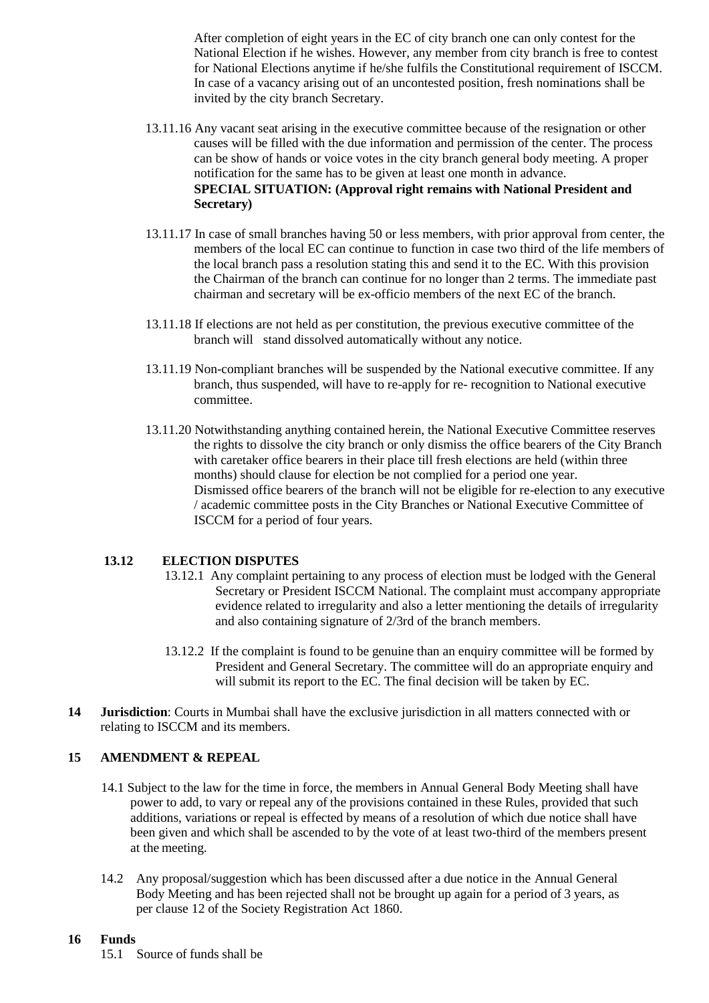After completion of eight years in the EC of city branch one can only contest for the National Election if he wishes. However, any member from city branch is free to contest for National Elections anytime if he/she fulfils the Constitutional requirement of ISCCM. In case of a vacancy arising out of an uncontested position, fresh nominations shall be invited by the city branch Secretary.

- 13.11.16 Any vacant seat arising in the executive committee because of the resignation or other causes will be filled with the due information and permission of the center. The process can be show of hands or voice votes in the city branch general body meeting. A proper notification for the same has to be given at least one month in advance. **SPECIAL SITUATION: (Approval right remains with National President and Secretary)**
- 13.11.17 In case of small branches having 50 or less members, with prior approval from center, the members of the local EC can continue to function in case two third of the life members of the local branch pass a resolution stating this and send it to the EC. With this provision the Chairman of the branch can continue for no longer than 2 terms. The immediate past chairman and secretary will be ex-officio members of the next EC of the branch.
- 13.11.18 If elections are not held as per constitution, the previous executive committee of the branch will stand dissolved automatically without any notice.
- 13.11.19 Non-compliant branches will be suspended by the National executive committee. If any branch, thus suspended, will have to re-apply for re- recognition to National executive committee.
- 13.11.20 Notwithstanding anything contained herein, the National Executive Committee reserves the rights to dissolve the city branch or only dismiss the office bearers of the City Branch with caretaker office bearers in their place till fresh elections are held (within three months) should clause for election be not complied for a period one year. Dismissed office bearers of the branch will not be eligible for re-election to any executive / academic committee posts in the City Branches or National Executive Committee of ISCCM for a period of four years.

# **13.12 ELECTION DISPUTES**

- 13.12.1 Any complaint pertaining to any process of election must be lodged with the General Secretary or President ISCCM National. The complaint must accompany appropriate evidence related to irregularity and also a letter mentioning the details of irregularity and also containing signature of 2/3rd of the branch members.
- 13.12.2 If the complaint is found to be genuine than an enquiry committee will be formed by President and General Secretary. The committee will do an appropriate enquiry and will submit its report to the EC. The final decision will be taken by EC.
- **14 Jurisdiction**: Courts in Mumbai shall have the exclusive jurisdiction in all matters connected with or relating to ISCCM and its members.

#### **15 AMENDMENT & REPEAL**

- 14.1 Subject to the law for the time in force, the members in Annual General Body Meeting shall have power to add, to vary or repeal any of the provisions contained in these Rules, provided that such additions, variations or repeal is effected by means of a resolution of which due notice shall have been given and which shall be ascended to by the vote of at least two-third of the members present at the meeting.
- 14.2 Any proposal/suggestion which has been discussed after a due notice in the Annual General Body Meeting and has been rejected shall not be brought up again for a period of 3 years, as per clause 12 of the Society Registration Act 1860.

# **16 Funds**

15.1 Source of funds shall be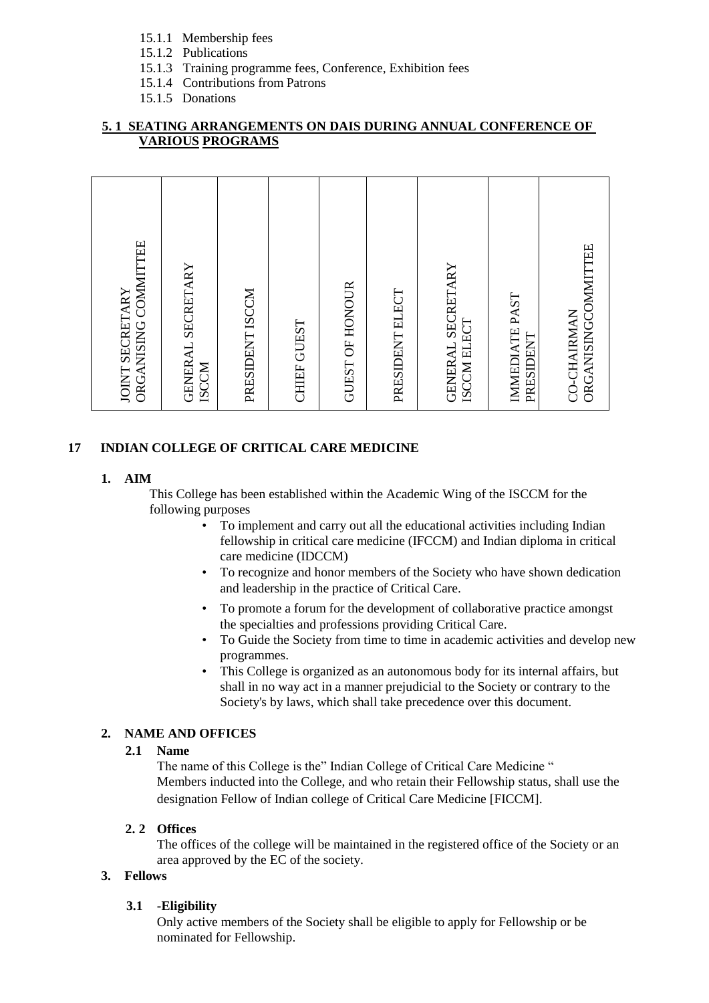- 15.1.1 Membership fees
- 15.1.2 Publications
- 15.1.3 Training programme fees, Conference, Exhibition fees
- 15.1.4 Contributions from Patrons
- 15.1.5 Donations

# **5. 1 SEATING ARRANGEMENTS ON DAIS DURING ANNUAL CONFERENCE OF VARIOUS PROGRAMS**

| ORGANISING COMMITTEE<br>JOINT SECRETARY   |
|-------------------------------------------|
| GENERAL SECRETARY<br><b>ISCCM</b>         |
| PRESIDENT ISCCM                           |
| CHIEF GUEST                               |
| GUEST OF HONOUR                           |
| PRESIDENT ELECT                           |
| GENERAL SECRETARY<br>ISCCM ELECT          |
| <b>IMMEDIATE PAST</b><br>PRESIDENT        |
| ORGANISINGCOMMITTEE<br><b>CO-CHAIRMAN</b> |

# **17 INDIAN COLLEGE OF CRITICAL CARE MEDICINE**

# **1. AIM**

This College has been established within the Academic Wing of the ISCCM for the following purposes

- To implement and carry out all the educational activities including Indian fellowship in critical care medicine (IFCCM) and Indian diploma in critical care medicine (IDCCM)
- To recognize and honor members of the Society who have shown dedication and leadership in the practice of Critical Care.
- To promote a forum for the development of collaborative practice amongst the specialties and professions providing Critical Care.
- To Guide the Society from time to time in academic activities and develop new programmes.
- This College is organized as an autonomous body for its internal affairs, but shall in no way act in a manner prejudicial to the Society or contrary to the Society's by laws, which shall take precedence over this document.

# **2. NAME AND OFFICES**

# **2.1 Name**

The name of this College is the" Indian College of Critical Care Medicine " Members inducted into the College, and who retain their Fellowship status, shall use the designation Fellow of Indian college of Critical Care Medicine [FICCM].

# **2. 2 Offices**

The offices of the college will be maintained in the registered office of the Society or an area approved by the EC of the society.

# **3. Fellows**

# **3.1 -Eligibility**

Only active members of the Society shall be eligible to apply for Fellowship or be nominated for Fellowship.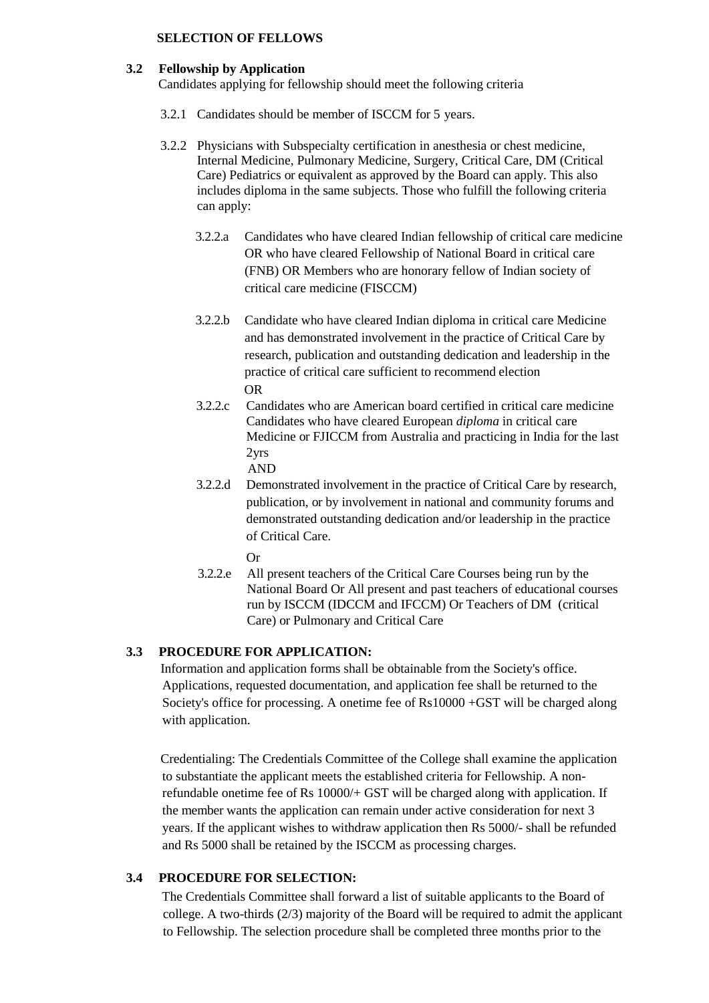#### **SELECTION OF FELLOWS**

#### **3.2 Fellowship by Application**

Candidates applying for fellowship should meet the following criteria

- 3.2.1 Candidates should be member of ISCCM for 5 years.
- 3.2.2 Physicians with Subspecialty certification in anesthesia or chest medicine, Internal Medicine, Pulmonary Medicine, Surgery, Critical Care, DM (Critical Care) Pediatrics or equivalent as approved by the Board can apply. This also includes diploma in the same subjects. Those who fulfill the following criteria can apply:
	- 3.2.2.a Candidates who have cleared Indian fellowship of critical care medicine OR who have cleared Fellowship of National Board in critical care (FNB) OR Members who are honorary fellow of Indian society of critical care medicine (FISCCM)
	- 3.2.2.b Candidate who have cleared Indian diploma in critical care Medicine and has demonstrated involvement in the practice of Critical Care by research, publication and outstanding dedication and leadership in the practice of critical care sufficient to recommend election OR
	- 3.2.2.c Candidates who are American board certified in critical care medicine Candidates who have cleared European *diploma* in critical care Medicine or FJICCM from Australia and practicing in India for the last 2yrs
		- AND
	- 3.2.2.d Demonstrated involvement in the practice of Critical Care by research, publication, or by involvement in national and community forums and demonstrated outstanding dedication and/or leadership in the practice of Critical Care.
		- Or
	- 3.2.2.e All present teachers of the Critical Care Courses being run by the National Board Or All present and past teachers of educational courses run by ISCCM (IDCCM and IFCCM) Or Teachers of DM (critical Care) or Pulmonary and Critical Care

# **3.3 PROCEDURE FOR APPLICATION:**

Information and application forms shall be obtainable from the Society's office. Applications, requested documentation, and application fee shall be returned to the Society's office for processing. A onetime fee of Rs10000 +GST will be charged along with application.

Credentialing: The Credentials Committee of the College shall examine the application to substantiate the applicant meets the established criteria for Fellowship. A nonrefundable onetime fee of Rs 10000/+ GST will be charged along with application. If the member wants the application can remain under active consideration for next 3 years. If the applicant wishes to withdraw application then Rs 5000/- shall be refunded and Rs 5000 shall be retained by the ISCCM as processing charges.

# **3.4 PROCEDURE FOR SELECTION:**

The Credentials Committee shall forward a list of suitable applicants to the Board of college. A two-thirds  $(2/3)$  majority of the Board will be required to admit the applicant to Fellowship. The selection procedure shall be completed three months prior to the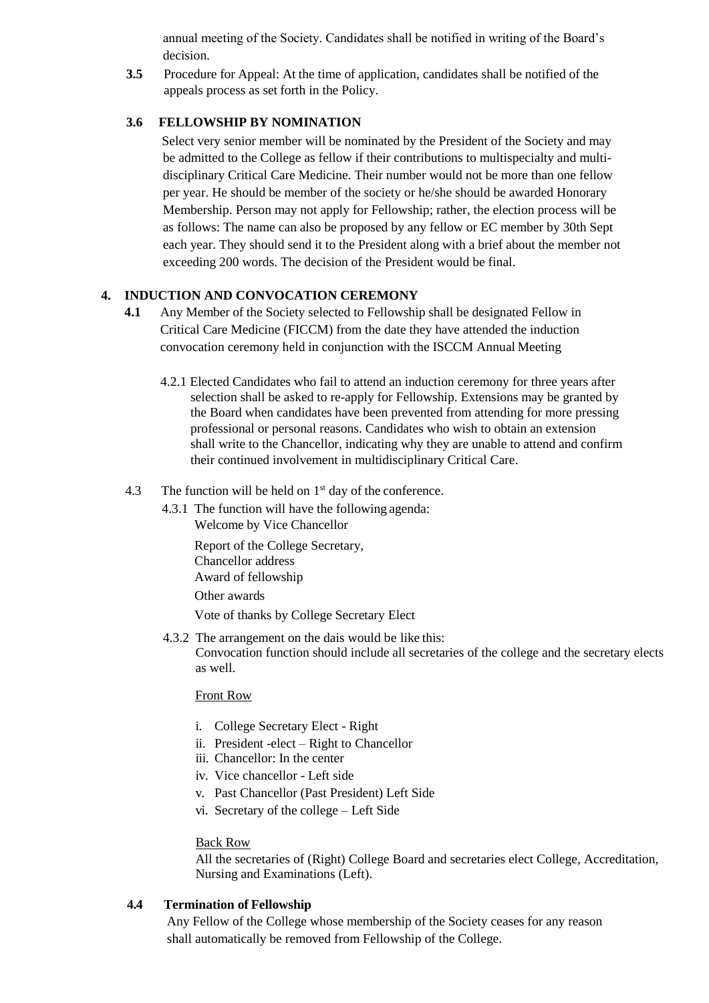annual meeting of the Society. Candidates shall be notified in writing of the Board's decision.

**3.5** Procedure for Appeal: At the time of application, candidates shall be notified of the appeals process as set forth in the Policy.

## **3.6 FELLOWSHIP BY NOMINATION**

Select very senior member will be nominated by the President of the Society and may be admitted to the College as fellow if their contributions to multispecialty and multidisciplinary Critical Care Medicine. Their number would not be more than one fellow per year. He should be member of the society or he/she should be awarded Honorary Membership. Person may not apply for Fellowship; rather, the election process will be as follows: The name can also be proposed by any fellow or EC member by 30th Sept each year. They should send it to the President along with a brief about the member not exceeding 200 words. The decision of the President would be final.

### **4. INDUCTION AND CONVOCATION CEREMONY**

- **4.1** Any Member of the Society selected to Fellowship shall be designated Fellow in Critical Care Medicine (FICCM) from the date they have attended the induction convocation ceremony held in conjunction with the ISCCM Annual Meeting
	- 4.2.1 Elected Candidates who fail to attend an induction ceremony for three years after selection shall be asked to re-apply for Fellowship. Extensions may be granted by the Board when candidates have been prevented from attending for more pressing professional or personal reasons. Candidates who wish to obtain an extension shall write to the Chancellor, indicating why they are unable to attend and confirm their continued involvement in multidisciplinary Critical Care.
- 4.3 The function will be held on  $1<sup>st</sup>$  day of the conference.
	- 4.3.1 The function will have the following agenda: Welcome by Vice Chancellor

Report of the College Secretary, Chancellor address Award of fellowship Other awards

Vote of thanks by College Secretary Elect

4.3.2 The arrangement on the dais would be like this: Convocation function should include all secretaries of the college and the secretary elects as well.

#### Front Row

- i. College Secretary Elect Right
- ii. President -elect Right to Chancellor
- iii. Chancellor: In the center
- iv. Vice chancellor Left side
- v. Past Chancellor (Past President) Left Side
- vi. Secretary of the college Left Side

#### Back Row

All the secretaries of (Right) College Board and secretaries elect College, Accreditation, Nursing and Examinations (Left).

# **4.4 Termination of Fellowship**

Any Fellow of the College whose membership of the Society ceases for any reason shall automatically be removed from Fellowship of the College.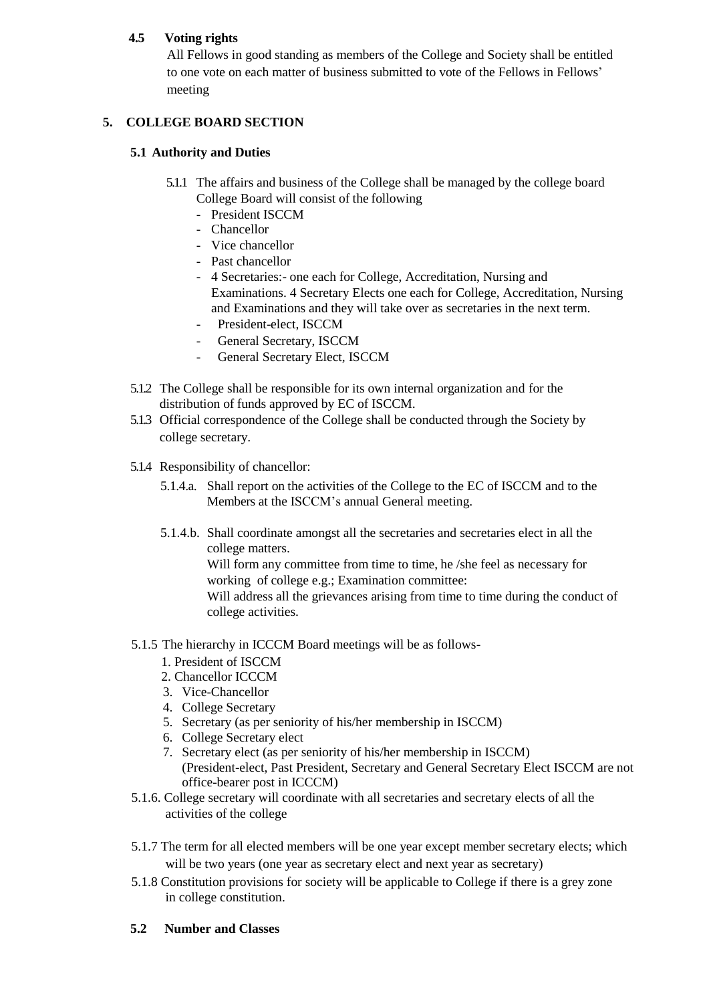# **4.5 Voting rights**

All Fellows in good standing as members of the College and Society shall be entitled to one vote on each matter of business submitted to vote of the Fellows in Fellows' meeting

# **5. COLLEGE BOARD SECTION**

## **5.1 Authority and Duties**

- 5.1.1 The affairs and business of the College shall be managed by the college board College Board will consist of the following
	- President ISCCM
	- Chancellor
	- Vice chancellor
	- Past chancellor
	- 4 Secretaries:- one each for College, Accreditation, Nursing and Examinations. 4 Secretary Elects one each for College, Accreditation, Nursing and Examinations and they will take over as secretaries in the next term.
	- President-elect, ISCCM
	- General Secretary, ISCCM
	- General Secretary Elect, ISCCM
- 5.1.2 The College shall be responsible for its own internal organization and for the distribution of funds approved by EC of ISCCM.
- 5.1.3 Official correspondence of the College shall be conducted through the Society by college secretary.
- 5.1.4 Responsibility of chancellor:
	- 5.1.4.a. Shall report on the activities of the College to the EC of ISCCM and to the Members at the ISCCM's annual General meeting.
	- 5.1.4.b. Shall coordinate amongst all the secretaries and secretaries elect in all the college matters.

Will form any committee from time to time, he /she feel as necessary for working of college e.g.; Examination committee:

Will address all the grievances arising from time to time during the conduct of college activities.

- 5.1.5 The hierarchy in ICCCM Board meetings will be as follows-
	- 1. President of ISCCM
	- 2. Chancellor ICCCM
	- 3. Vice-Chancellor
	- 4. College Secretary
	- 5. Secretary (as per seniority of his/her membership in ISCCM)
	- 6. College Secretary elect
	- 7. Secretary elect (as per seniority of his/her membership in ISCCM) (President-elect, Past President, Secretary and General Secretary Elect ISCCM are not office-bearer post in ICCCM)
- 5.1.6. College secretary will coordinate with all secretaries and secretary elects of all the activities of the college
- 5.1.7 The term for all elected members will be one year except member secretary elects; which will be two years (one year as secretary elect and next year as secretary)
- 5.1.8 Constitution provisions for society will be applicable to College if there is a grey zone in college constitution.

# **5.2 Number and Classes**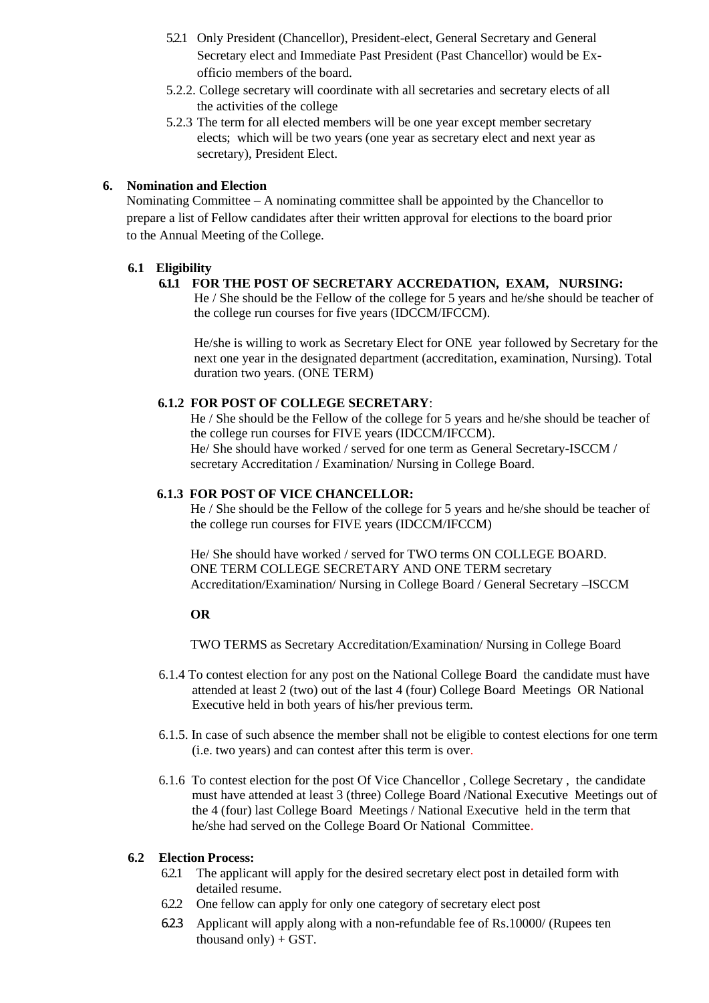- 5.2.1 Only President (Chancellor), President-elect, General Secretary and General Secretary elect and Immediate Past President (Past Chancellor) would be Exofficio members of the board.
- 5.2.2. College secretary will coordinate with all secretaries and secretary elects of all the activities of the college
- 5.2.3 The term for all elected members will be one year except member secretary elects; which will be two years (one year as secretary elect and next year as secretary), President Elect.

## **6. Nomination and Election**

Nominating Committee – A nominating committee shall be appointed by the Chancellor to prepare a list of Fellow candidates after their written approval for elections to the board prior to the Annual Meeting of the College.

# **6.1 Eligibility**

# **6.1.1 FOR THE POST OF SECRETARY ACCREDATION, EXAM, NURSING:**

He / She should be the Fellow of the college for 5 years and he/she should be teacher of the college run courses for five years (IDCCM/IFCCM).

He/she is willing to work as Secretary Elect for ONE year followed by Secretary for the next one year in the designated department (accreditation, examination, Nursing). Total duration two years. (ONE TERM)

#### **6.1.2 FOR POST OF COLLEGE SECRETARY**:

He / She should be the Fellow of the college for 5 years and he/she should be teacher of the college run courses for FIVE years (IDCCM/IFCCM). He/ She should have worked / served for one term as General Secretary-ISCCM / secretary Accreditation / Examination/ Nursing in College Board.

#### **6.1.3 FOR POST OF VICE CHANCELLOR:**

He / She should be the Fellow of the college for 5 years and he/she should be teacher of the college run courses for FIVE years (IDCCM/IFCCM)

He/ She should have worked / served for TWO terms ON COLLEGE BOARD. ONE TERM COLLEGE SECRETARY AND ONE TERM secretary Accreditation/Examination/ Nursing in College Board / General Secretary –ISCCM

#### **OR**

TWO TERMS as Secretary Accreditation/Examination/ Nursing in College Board

- 6.1.4 To contest election for any post on the National College Board the candidate must have attended at least 2 (two) out of the last 4 (four) College Board Meetings OR National Executive held in both years of his/her previous term.
- 6.1.5. In case of such absence the member shall not be eligible to contest elections for one term (i.e. two years) and can contest after this term is over.
- 6.1.6 To contest election for the post Of Vice Chancellor , College Secretary , the candidate must have attended at least 3 (three) College Board /National Executive Meetings out of the 4 (four) last College Board Meetings / National Executive held in the term that he/she had served on the College Board Or National Committee.

#### **6.2 Election Process:**

- 6.2.1 The applicant will apply for the desired secretary elect post in detailed form with detailed resume.
- 6.2.2 One fellow can apply for only one category of secretary elect post
- 6.2.3 Applicant will apply along with a non-refundable fee of Rs.10000/ (Rupees ten thousand only $) + GST$ .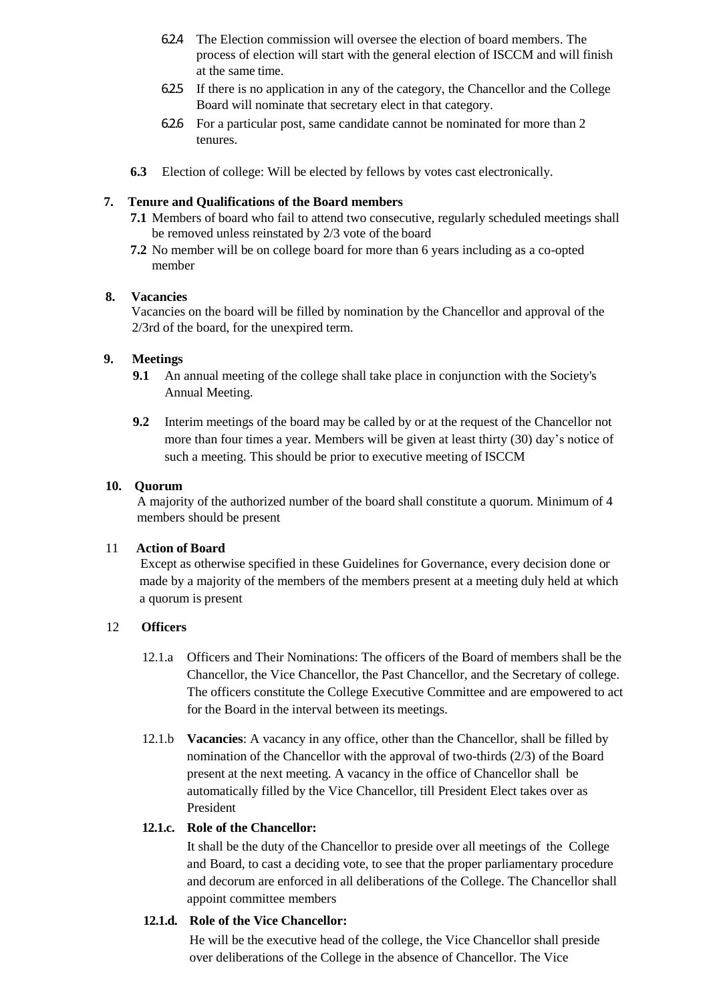- 6.2.4 The Election commission will oversee the election of board members. The process of election will start with the general election of ISCCM and will finish at the same time.
- 6.2.5 If there is no application in any of the category, the Chancellor and the College Board will nominate that secretary elect in that category.
- 6.2.6 For a particular post, same candidate cannot be nominated for more than 2 tenures.
- **6.3** Election of college: Will be elected by fellows by votes cast electronically.

## **7. Tenure and Qualifications of the Board members**

- **7.1** Members of board who fail to attend two consecutive, regularly scheduled meetings shall be removed unless reinstated by 2/3 vote of the board
- **7.2** No member will be on college board for more than 6 years including as a co-opted member

### **8. Vacancies**

Vacancies on the board will be filled by nomination by the Chancellor and approval of the 2/3rd of the board, for the unexpired term.

### **9. Meetings**

- **9.1** An annual meeting of the college shall take place in conjunction with the Society's Annual Meeting.
- **9.2** Interim meetings of the board may be called by or at the request of the Chancellor not more than four times a year. Members will be given at least thirty (30) day's notice of such a meeting. This should be prior to executive meeting of ISCCM

#### **10. Quorum**

A majority of the authorized number of the board shall constitute a quorum. Minimum of 4 members should be present

#### 11 **Action of Board**

Except as otherwise specified in these Guidelines for Governance, every decision done or made by a majority of the members of the members present at a meeting duly held at which a quorum is present

# 12 **Officers**

- 12.1.a Officers and Their Nominations: The officers of the Board of members shall be the Chancellor, the Vice Chancellor, the Past Chancellor, and the Secretary of college. The officers constitute the College Executive Committee and are empowered to act for the Board in the interval between its meetings.
- 12.1.b **Vacancies**: A vacancy in any office, other than the Chancellor, shall be filled by nomination of the Chancellor with the approval of two-thirds (2/3) of the Board present at the next meeting. A vacancy in the office of Chancellor shall be automatically filled by the Vice Chancellor, till President Elect takes over as President

# **12.1.c. Role of the Chancellor:**

It shall be the duty of the Chancellor to preside over all meetings of the College and Board, to cast a deciding vote, to see that the proper parliamentary procedure and decorum are enforced in all deliberations of the College. The Chancellor shall appoint committee members

#### **12.1.d. Role of the Vice Chancellor:**

He will be the executive head of the college, the Vice Chancellor shall preside over deliberations of the College in the absence of Chancellor. The Vice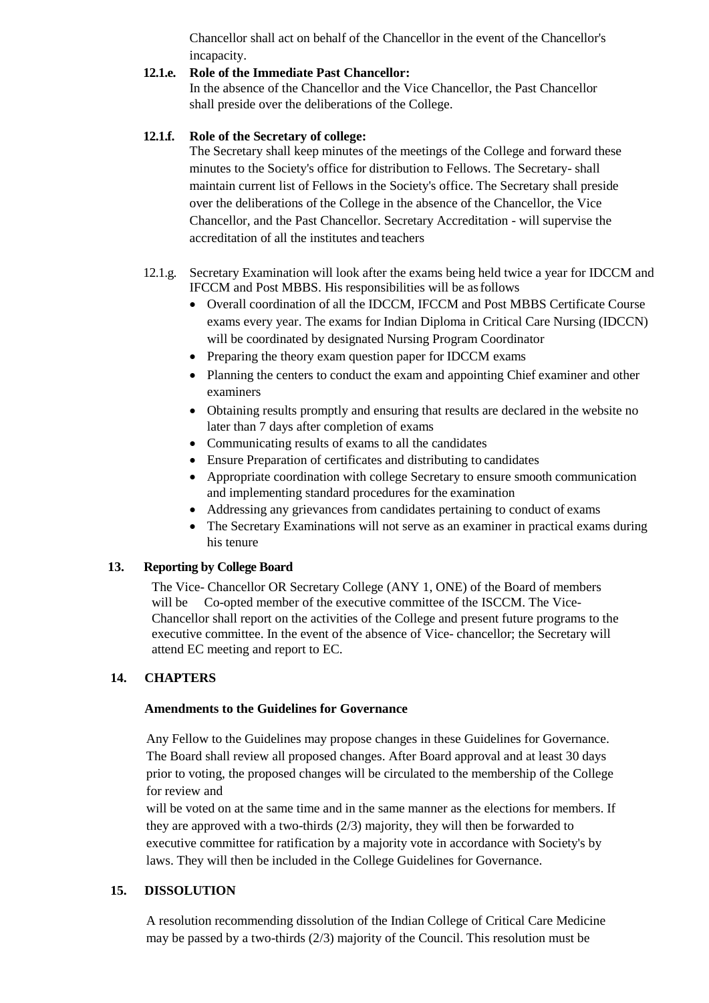Chancellor shall act on behalf of the Chancellor in the event of the Chancellor's incapacity.

#### **12.1.e. Role of the Immediate Past Chancellor:**

In the absence of the Chancellor and the Vice Chancellor, the Past Chancellor shall preside over the deliberations of the College.

# **12.1.f. Role of the Secretary of college:**

The Secretary shall keep minutes of the meetings of the College and forward these minutes to the Society's office for distribution to Fellows. The Secretary- shall maintain current list of Fellows in the Society's office. The Secretary shall preside over the deliberations of the College in the absence of the Chancellor, the Vice Chancellor, and the Past Chancellor. Secretary Accreditation - will supervise the accreditation of all the institutes and teachers

# 12.1.g. Secretary Examination will look after the exams being held twice a year for IDCCM and IFCCM and Post MBBS. His responsibilities will be asfollows

- Overall coordination of all the IDCCM, IFCCM and Post MBBS Certificate Course exams every year. The exams for Indian Diploma in Critical Care Nursing (IDCCN) will be coordinated by designated Nursing Program Coordinator
- Preparing the theory exam question paper for IDCCM exams
- Planning the centers to conduct the exam and appointing Chief examiner and other examiners
- Obtaining results promptly and ensuring that results are declared in the website no later than 7 days after completion of exams
- Communicating results of exams to all the candidates
- Ensure Preparation of certificates and distributing to candidates
- Appropriate coordination with college Secretary to ensure smooth communication and implementing standard procedures for the examination
- Addressing any grievances from candidates pertaining to conduct of exams
- The Secretary Examinations will not serve as an examiner in practical exams during his tenure

# **13. Reporting by College Board**

The Vice- Chancellor OR Secretary College (ANY 1, ONE) of the Board of members will be Co-opted member of the executive committee of the ISCCM. The Vice-Chancellor shall report on the activities of the College and present future programs to the executive committee. In the event of the absence of Vice- chancellor; the Secretary will attend EC meeting and report to EC.

# **14. CHAPTERS**

#### **Amendments to the Guidelines for Governance**

Any Fellow to the Guidelines may propose changes in these Guidelines for Governance. The Board shall review all proposed changes. After Board approval and at least 30 days prior to voting, the proposed changes will be circulated to the membership of the College for review and

will be voted on at the same time and in the same manner as the elections for members. If they are approved with a two-thirds (2/3) majority, they will then be forwarded to executive committee for ratification by a majority vote in accordance with Society's by laws. They will then be included in the College Guidelines for Governance.

# **15. DISSOLUTION**

A resolution recommending dissolution of the Indian College of Critical Care Medicine may be passed by a two-thirds (2/3) majority of the Council. This resolution must be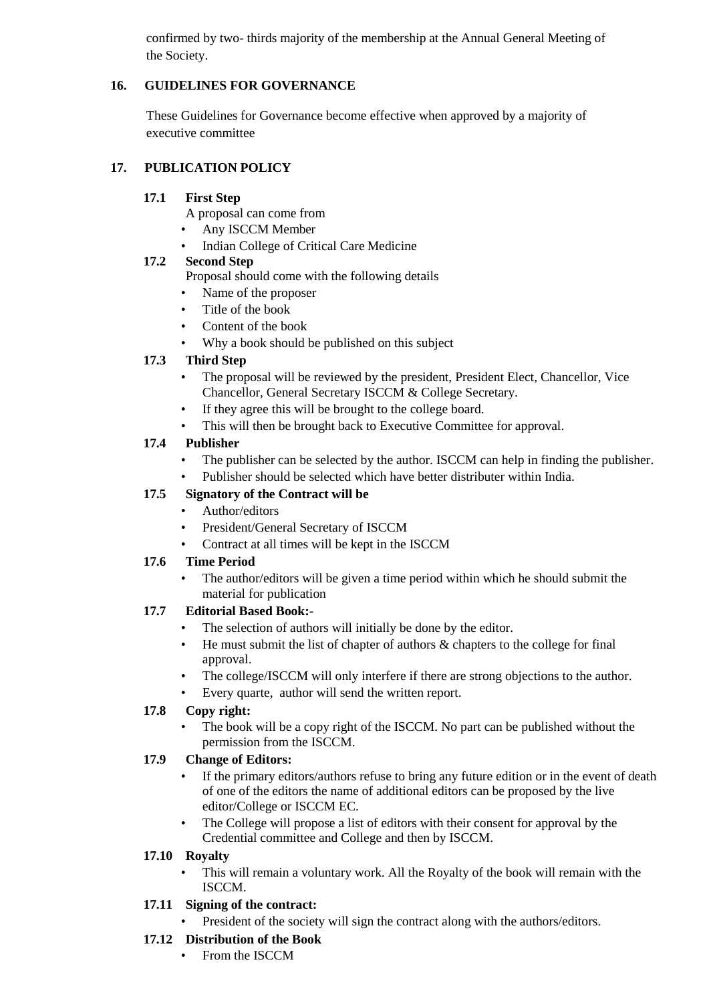confirmed by two- thirds majority of the membership at the Annual General Meeting of the Society.

# **16. GUIDELINES FOR GOVERNANCE**

These Guidelines for Governance become effective when approved by a majority of executive committee

# **17. PUBLICATION POLICY**

# **17.1 First Step**

A proposal can come from

- Any ISCCM Member
- Indian College of Critical Care Medicine

### **17.2 Second Step**

Proposal should come with the following details

- Name of the proposer
- Title of the book
- Content of the book
- Why a book should be published on this subject

# **17.3 Third Step**

- The proposal will be reviewed by the president, President Elect, Chancellor, Vice Chancellor, General Secretary ISCCM & College Secretary.
- If they agree this will be brought to the college board.
- This will then be brought back to Executive Committee for approval.

# **17.4 Publisher**

- The publisher can be selected by the author. ISCCM can help in finding the publisher.
- Publisher should be selected which have better distributer within India.

# **17.5 Signatory of the Contract will be**

- Author/editors
- President/General Secretary of ISCCM
- Contract at all times will be kept in the ISCCM

# **17.6 Time Period**

The author/editors will be given a time period within which he should submit the material for publication

# **17.7 Editorial Based Book:-**

- The selection of authors will initially be done by the editor.
- He must submit the list of chapter of authors & chapters to the college for final approval.
- The college/ISCCM will only interfere if there are strong objections to the author.
- Every quarte, author will send the written report.

# **17.8 Copy right:**

The book will be a copy right of the ISCCM. No part can be published without the permission from the ISCCM.

# **17.9 Change of Editors:**

- If the primary editors/authors refuse to bring any future edition or in the event of death of one of the editors the name of additional editors can be proposed by the live editor/College or ISCCM EC.
- The College will propose a list of editors with their consent for approval by the Credential committee and College and then by ISCCM.

# **17.10 Royalty**

• This will remain a voluntary work. All the Royalty of the book will remain with the ISCCM.

# **17.11 Signing of the contract:**

President of the society will sign the contract along with the authors/editors.

# **17.12 Distribution of the Book**

• From the ISCCM